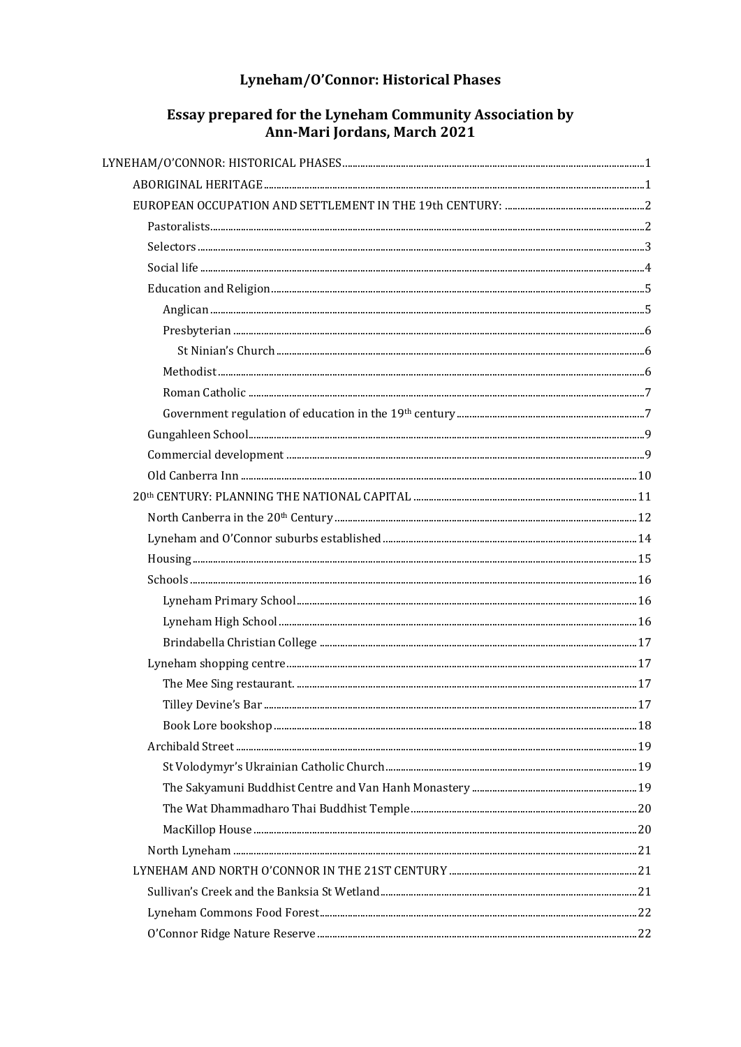## Lyneham/O'Connor: Historical Phases

# Essay prepared for the Lyneham Community Association by<br>Ann-Mari Jordans, March 2021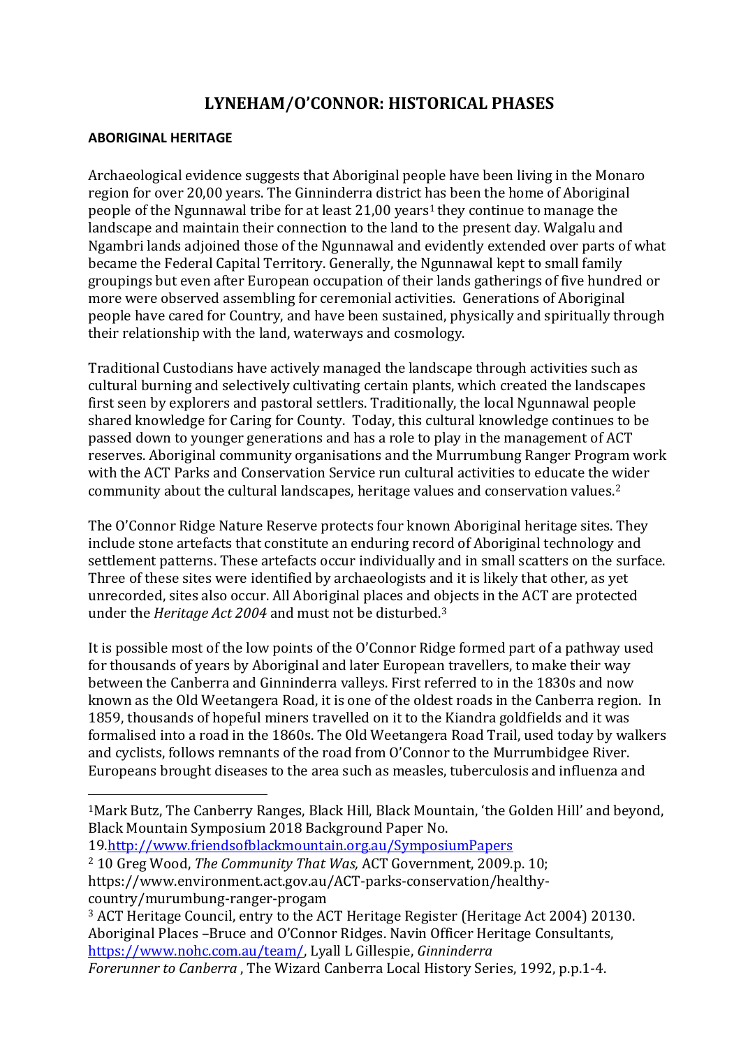## **LYNEHAM/O'CONNOR: HISTORICAL PHASES**

#### <span id="page-1-1"></span><span id="page-1-0"></span>**ABORIGINAL HERITAGE**

Archaeological evidence suggests that Aboriginal people have been living in the Monaro region for over 20,00 years. The Ginninderra district has been the home of Aboriginal people of the Ngunnawal tribe for at least  $21,00$  years<sup>1</sup> they continue to manage the landscape and maintain their connection to the land to the present day. Walgalu and Ngambri lands adjoined those of the Ngunnawal and evidently extended over parts of what became the Federal Capital Territory. Generally, the Ngunnawal kept to small family groupings but even after European occupation of their lands gatherings of five hundred or more were observed assembling for ceremonial activities. Generations of Aboriginal people have cared for Country, and have been sustained, physically and spiritually through their relationship with the land, waterways and cosmology.

Traditional Custodians have actively managed the landscape through activities such as cultural burning and selectively cultivating certain plants, which created the landscapes first seen by explorers and pastoral settlers. Traditionally, the local Ngunnawal people shared knowledge for Caring for County. Today, this cultural knowledge continues to be passed down to younger generations and has a role to play in the management of ACT reserves. Aboriginal community organisations and the Murrumbung Ranger Program work with the ACT Parks and Conservation Service run cultural activities to educate the wider community about the cultural landscapes, heritage values and conservation values.<sup>2</sup>

The O'Connor Ridge Nature Reserve protects four known Aboriginal heritage sites. They include stone artefacts that constitute an enduring record of Aboriginal technology and settlement patterns. These artefacts occur individually and in small scatters on the surface. Three of these sites were identified by archaeologists and it is likely that other, as yet unrecorded, sites also occur. All Aboriginal places and objects in the ACT are protected under the *Heritage Act 2004* and must not be disturbed.<sup>3</sup>

It is possible most of the low points of the O'Connor Ridge formed part of a pathway used for thousands of years by Aboriginal and later European travellers, to make their way between the Canberra and Ginninderra valleys. First referred to in the 1830s and now known as the Old Weetangera Road, it is one of the oldest roads in the Canberra region. In 1859, thousands of hopeful miners travelled on it to the Kiandra goldfields and it was formalised into a road in the 1860s. The Old Weetangera Road Trail, used today by walkers and cyclists, follows remnants of the road from O'Connor to the Murrumbidgee River. Europeans brought diseases to the area such as measles, tuberculosis and influenza and

19.http://www.friendsofblackmountain.org.au/SymposiumPapers

- <sup>2</sup> 10 Greg Wood, *The Community That Was,* ACT Government, 2009.p. 10; https://www.environment.act.gov.au/ACT-parks-conservation/healthycountry/murumbung-ranger-progam
- <sup>3</sup> ACT Heritage Council, entry to the ACT Heritage Register (Heritage Act 2004) 20130. Aboriginal Places –Bruce and O'Connor Ridges. Navin Officer Heritage Consultants, [https://www.nohc.com.au/team/,](https://www.nohc.com.au/team/) Lyall L Gillespie, *Ginninderra*

*Forerunner to Canberra* , The Wizard Canberra Local History Series, 1992, p.p.1-4.

<sup>1</sup>Mark Butz, The Canberry Ranges, Black Hill, Black Mountain, 'the Golden Hill' and beyond, Black Mountain Symposium 2018 Background Paper No.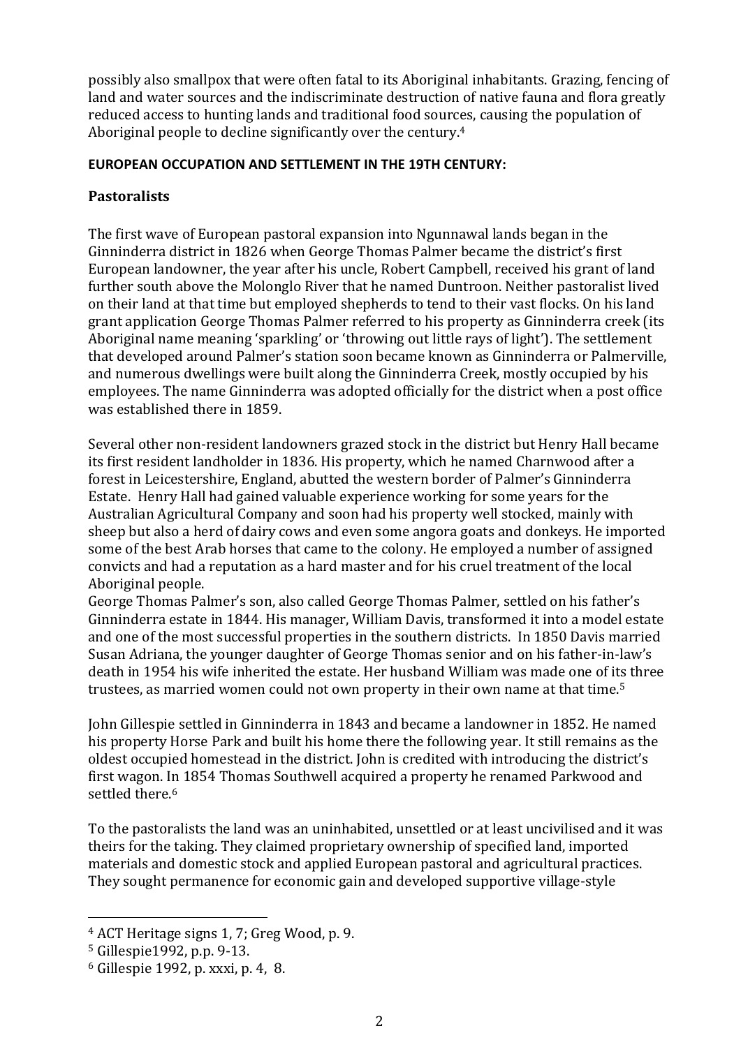possibly also smallpox that were often fatal to its Aboriginal inhabitants. Grazing, fencing of land and water sources and the indiscriminate destruction of native fauna and flora greatly reduced access to hunting lands and traditional food sources, causing the population of Aboriginal people to decline significantly over the century.<sup>4</sup>

#### <span id="page-2-0"></span>**EUROPEAN OCCUPATION AND SETTLEMENT IN THE 19TH CENTURY:**

## <span id="page-2-1"></span>**Pastoralists**

The first wave of European pastoral expansion into Ngunnawal lands began in the Ginninderra district in 1826 when George Thomas Palmer became the district's first European landowner, the year after his uncle, Robert Campbell, received his grant of land further south above the Molonglo River that he named Duntroon. Neither pastoralist lived on their land at that time but employed shepherds to tend to their vast flocks. On his land grant application George Thomas Palmer referred to his property as Ginninderra creek (its Aboriginal name meaning 'sparkling' or 'throwing out little rays of light'). The settlement that developed around Palmer's station soon became known as Ginninderra or Palmerville, and numerous dwellings were built along the Ginninderra Creek, mostly occupied by his employees. The name Ginninderra was adopted officially for the district when a post office was established there in 1859.

Several other non-resident landowners grazed stock in the district but Henry Hall became its first resident landholder in 1836. His property, which he named Charnwood after a forest in Leicestershire, England, abutted the western border of Palmer's Ginninderra Estate. Henry Hall had gained valuable experience working for some years for the Australian Agricultural Company and soon had his property well stocked, mainly with sheep but also a herd of dairy cows and even some angora goats and donkeys. He imported some of the best Arab horses that came to the colony. He employed a number of assigned convicts and had a reputation as a hard master and for his cruel treatment of the local Aboriginal people.

George Thomas Palmer's son, also called George Thomas Palmer, settled on his father's Ginninderra estate in 1844. His manager, William Davis, transformed it into a model estate and one of the most successful properties in the southern districts. In 1850 Davis married Susan Adriana, the younger daughter of George Thomas senior and on his father-in-law's death in 1954 his wife inherited the estate. Her husband William was made one of its three trustees, as married women could not own property in their own name at that time.<sup>5</sup>

John Gillespie settled in Ginninderra in 1843 and became a landowner in 1852. He named his property Horse Park and built his home there the following year. It still remains as the oldest occupied homestead in the district. John is credited with introducing the district's first wagon. In 1854 Thomas Southwell acquired a property he renamed Parkwood and settled there.<sup>6</sup>

To the pastoralists the land was an uninhabited, unsettled or at least uncivilised and it was theirs for the taking. They claimed proprietary ownership of specified land, imported materials and domestic stock and applied European pastoral and agricultural practices. They sought permanence for economic gain and developed supportive village-style

<sup>4</sup> ACT Heritage signs 1, 7; Greg Wood, p. 9.

<sup>5</sup> Gillespie1992, p.p. 9-13.

<sup>6</sup> Gillespie 1992, p. xxxi, p. 4, 8.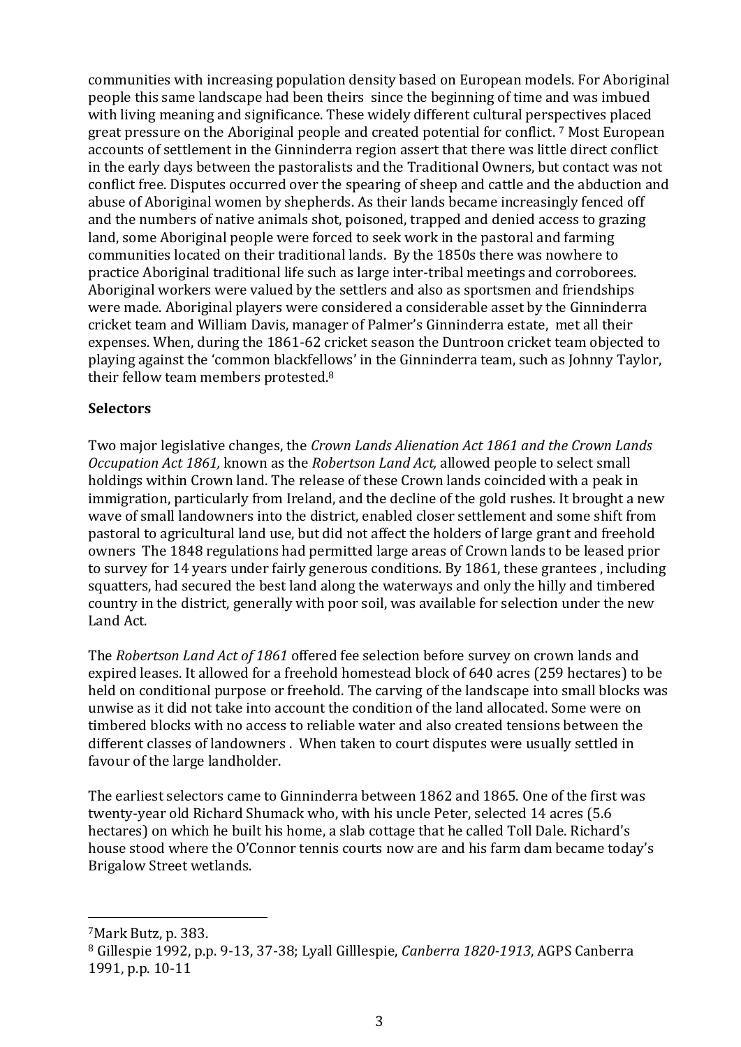communities with increasing population density based on European models. For Aboriginal people this same landscape had been theirs since the beginning of time and was imbued with living meaning and significance. These widely different cultural perspectives placed great pressure on the Aboriginal people and created potential for conflict. <sup>7</sup> Most European accounts of settlement in the Ginninderra region assert that there was little direct conflict in the early days between the pastoralists and the Traditional Owners, but contact was not conflict free. Disputes occurred over the spearing of sheep and cattle and the abduction and abuse of Aboriginal women by shepherds. As their lands became increasingly fenced off and the numbers of native animals shot, poisoned, trapped and denied access to grazing land, some Aboriginal people were forced to seek work in the pastoral and farming communities located on their traditional lands. By the 1850s there was nowhere to practice Aboriginal traditional life such as large inter-tribal meetings and corroborees. Aboriginal workers were valued by the settlers and also as sportsmen and friendships were made. Aboriginal players were considered a considerable asset by the Ginninderra cricket team and William Davis, manager of Palmer's Ginninderra estate, met all their expenses. When, during the 1861-62 cricket season the Duntroon cricket team objected to playing against the 'common blackfellows' in the Ginninderra team, such as Johnny Taylor, their fellow team members protested.<sup>8</sup>

## <span id="page-3-0"></span>**Selectors**

Two major legislative changes, the *Crown Lands Alienation Act 1861 and the Crown Lands Occupation Act 1861,* known as the *Robertson Land Act,* allowed people to select small holdings within Crown land. The release of these Crown lands coincided with a peak in immigration, particularly from Ireland, and the decline of the gold rushes. It brought a new wave of small landowners into the district, enabled closer settlement and some shift from pastoral to agricultural land use, but did not affect the holders of large grant and freehold owners The 1848 regulations had permitted large areas of Crown lands to be leased prior to survey for 14 years under fairly generous conditions. By 1861, these grantees , including squatters, had secured the best land along the waterways and only the hilly and timbered country in the district, generally with poor soil, was available for selection under the new Land Act.

The *Robertson Land Act of 1861* offered fee selection before survey on crown lands and expired leases. It allowed for a freehold homestead block of 640 acres (259 hectares) to be held on conditional purpose or freehold. The carving of the landscape into small blocks was unwise as it did not take into account the condition of the land allocated. Some were on timbered blocks with no access to reliable water and also created tensions between the different classes of landowners . When taken to court disputes were usually settled in favour of the large landholder.

The earliest selectors came to Ginninderra between 1862 and 1865. One of the first was twenty-year old Richard Shumack who, with his uncle Peter, selected 14 acres (5.6 hectares) on which he built his home, a slab cottage that he called Toll Dale. Richard's house stood where the O'Connor tennis courts now are and his farm dam became today's Brigalow Street wetlands.

<sup>7</sup>Mark Butz, p. 383.

<sup>8</sup> Gillespie 1992, p.p. 9-13, 37-38; Lyall Gilllespie, *Canberra 1820-1913*, AGPS Canberra 1991, p.p. 10-11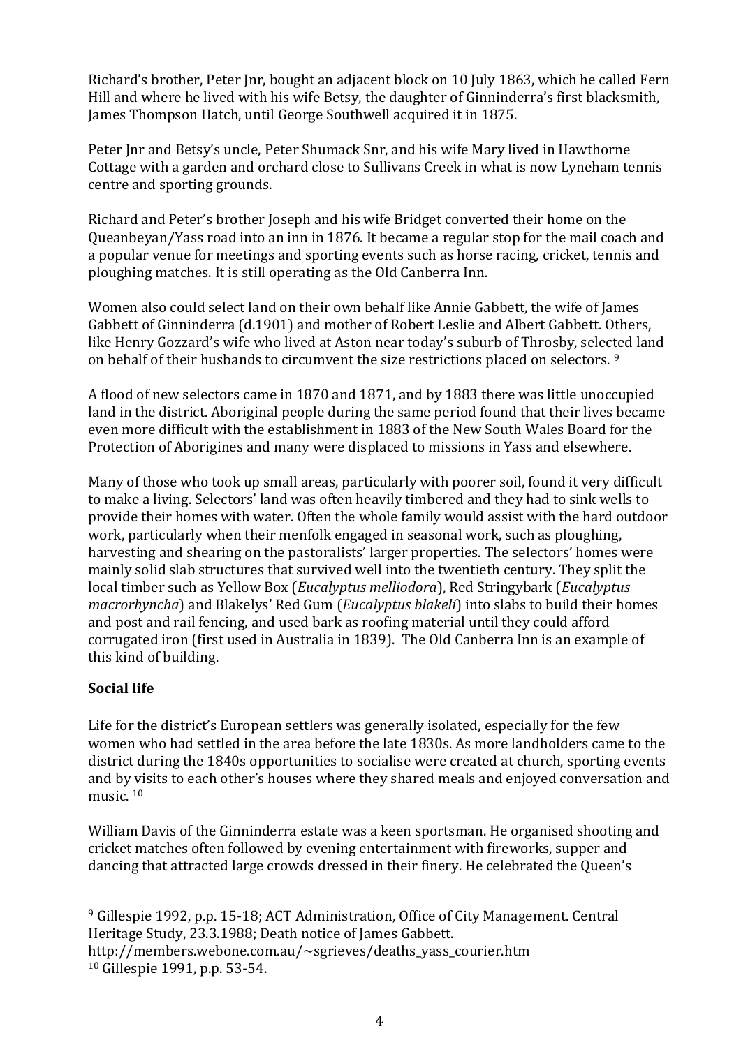Richard's brother, Peter Jnr, bought an adjacent block on 10 July 1863, which he called Fern Hill and where he lived with his wife Betsy, the daughter of Ginninderra's first blacksmith, James Thompson Hatch, until George Southwell acquired it in 1875.

Peter Jnr and Betsy's uncle, Peter Shumack Snr, and his wife Mary lived in Hawthorne Cottage with a garden and orchard close to Sullivans Creek in what is now Lyneham tennis centre and sporting grounds.

Richard and Peter's brother Joseph and his wife Bridget converted their home on the Queanbeyan/Yass road into an inn in 1876. It became a regular stop for the mail coach and a popular venue for meetings and sporting events such as horse racing, cricket, tennis and ploughing matches. It is still operating as the Old Canberra Inn.

Women also could select land on their own behalf like Annie Gabbett, the wife of James Gabbett of Ginninderra (d.1901) and mother of Robert Leslie and Albert Gabbett. Others, like Henry Gozzard's wife who lived at Aston near today's suburb of Throsby, selected land on behalf of their husbands to circumvent the size restrictions placed on selectors. <sup>9</sup>

A flood of new selectors came in 1870 and 1871, and by 1883 there was little unoccupied land in the district. Aboriginal people during the same period found that their lives became even more difficult with the establishment in 1883 of the New South Wales Board for the Protection of Aborigines and many were displaced to missions in Yass and elsewhere.

Many of those who took up small areas, particularly with poorer soil, found it very difficult to make a living. Selectors' land was often heavily timbered and they had to sink wells to provide their homes with water. Often the whole family would assist with the hard outdoor work, particularly when their menfolk engaged in seasonal work, such as ploughing, harvesting and shearing on the pastoralists' larger properties. The selectors' homes were mainly solid slab structures that survived well into the twentieth century. They split the local timber such as Yellow Box (*Eucalyptus melliodora*), Red Stringybark (*Eucalyptus macrorhyncha*) and Blakelys' Red Gum (*Eucalyptus blakeli*) into slabs to build their homes and post and rail fencing, and used bark as roofing material until they could afford corrugated iron (first used in Australia in 1839). The Old Canberra Inn is an example of this kind of building.

## <span id="page-4-0"></span>**Social life**

Life for the district's European settlers was generally isolated, especially for the few women who had settled in the area before the late 1830s. As more landholders came to the district during the 1840s opportunities to socialise were created at church, sporting events and by visits to each other's houses where they shared meals and enjoyed conversation and music.<sup>10</sup>

William Davis of the Ginninderra estate was a keen sportsman. He organised shooting and cricket matches often followed by evening entertainment with fireworks, supper and dancing that attracted large crowds dressed in their finery. He celebrated the Queen's

<sup>9</sup> Gillespie 1992, p.p. 15-18; ACT Administration, Office of City Management. Central Heritage Study, 23.3.1988; Death notice of James Gabbett.

http://members.webone.com.au/~sgrieves/deaths\_yass\_courier.htm <sup>10</sup> Gillespie 1991, p.p. 53-54.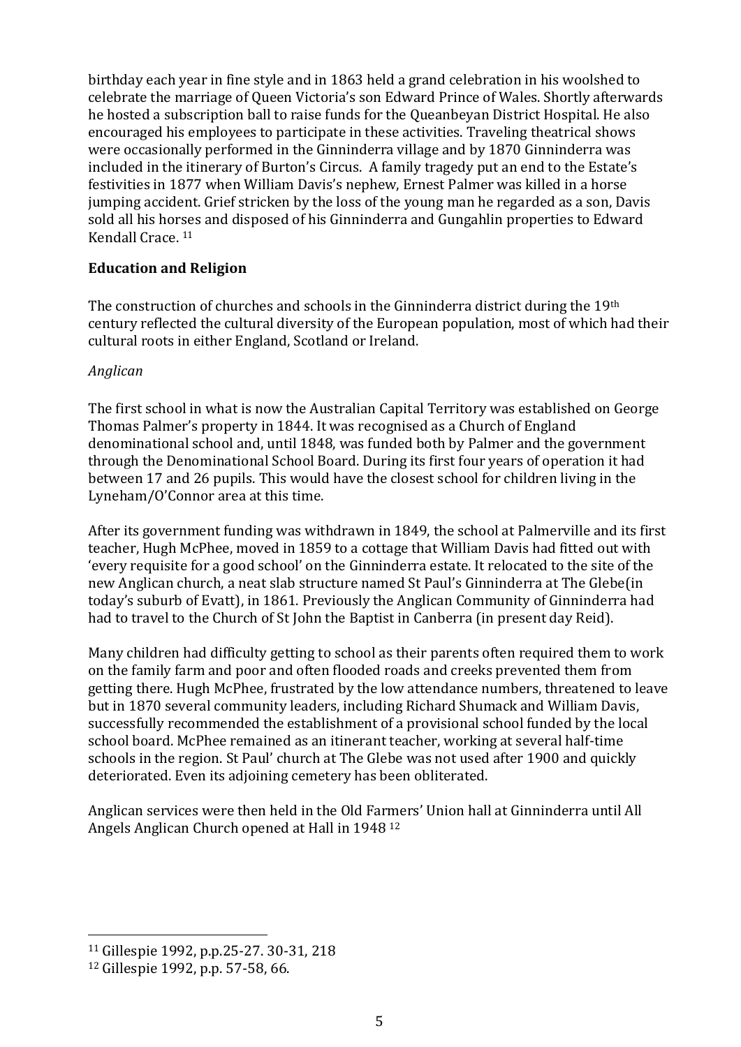birthday each year in fine style and in 1863 held a grand celebration in his woolshed to celebrate the marriage of Queen Victoria's son Edward Prince of Wales. Shortly afterwards he hosted a subscription ball to raise funds for the Queanbeyan District Hospital. He also encouraged his employees to participate in these activities. Traveling theatrical shows were occasionally performed in the Ginninderra village and by 1870 Ginninderra was included in the itinerary of Burton's Circus. A family tragedy put an end to the Estate's festivities in 1877 when William Davis's nephew, Ernest Palmer was killed in a horse jumping accident. Grief stricken by the loss of the young man he regarded as a son, Davis sold all his horses and disposed of his Ginninderra and Gungahlin properties to Edward Kendall Crace. <sup>11</sup>

#### <span id="page-5-0"></span>**Education and Religion**

The construction of churches and schools in the Ginninderra district during the 19th century reflected the cultural diversity of the European population, most of which had their cultural roots in either England, Scotland or Ireland.

## <span id="page-5-1"></span>*Anglican*

The first school in what is now the Australian Capital Territory was established on George Thomas Palmer's property in 1844. It was recognised as a Church of England denominational school and, until 1848, was funded both by Palmer and the government through the Denominational School Board. During its first four years of operation it had between 17 and 26 pupils. This would have the closest school for children living in the Lyneham/O'Connor area at this time.

After its government funding was withdrawn in 1849, the school at Palmerville and its first teacher, Hugh McPhee, moved in 1859 to a cottage that William Davis had fitted out with 'every requisite for a good school' on the Ginninderra estate. It relocated to the site of the new Anglican church, a neat slab structure named St Paul's Ginninderra at The Glebe(in today's suburb of Evatt), in 1861. Previously the Anglican Community of Ginninderra had had to travel to the Church of St John the Baptist in Canberra (in present day Reid).

Many children had difficulty getting to school as their parents often required them to work on the family farm and poor and often flooded roads and creeks prevented them from getting there. Hugh McPhee, frustrated by the low attendance numbers, threatened to leave but in 1870 several community leaders, including Richard Shumack and William Davis, successfully recommended the establishment of a provisional school funded by the local school board. McPhee remained as an itinerant teacher, working at several half-time schools in the region. St Paul' church at The Glebe was not used after 1900 and quickly deteriorated. Even its adjoining cemetery has been obliterated.

Anglican services were then held in the Old Farmers' Union hall at Ginninderra until All Angels Anglican Church opened at Hall in 1948 <sup>12</sup>

<sup>11</sup> Gillespie 1992, p.p.25-27. 30-31, 218

<sup>12</sup> Gillespie 1992, p.p. 57-58, 66.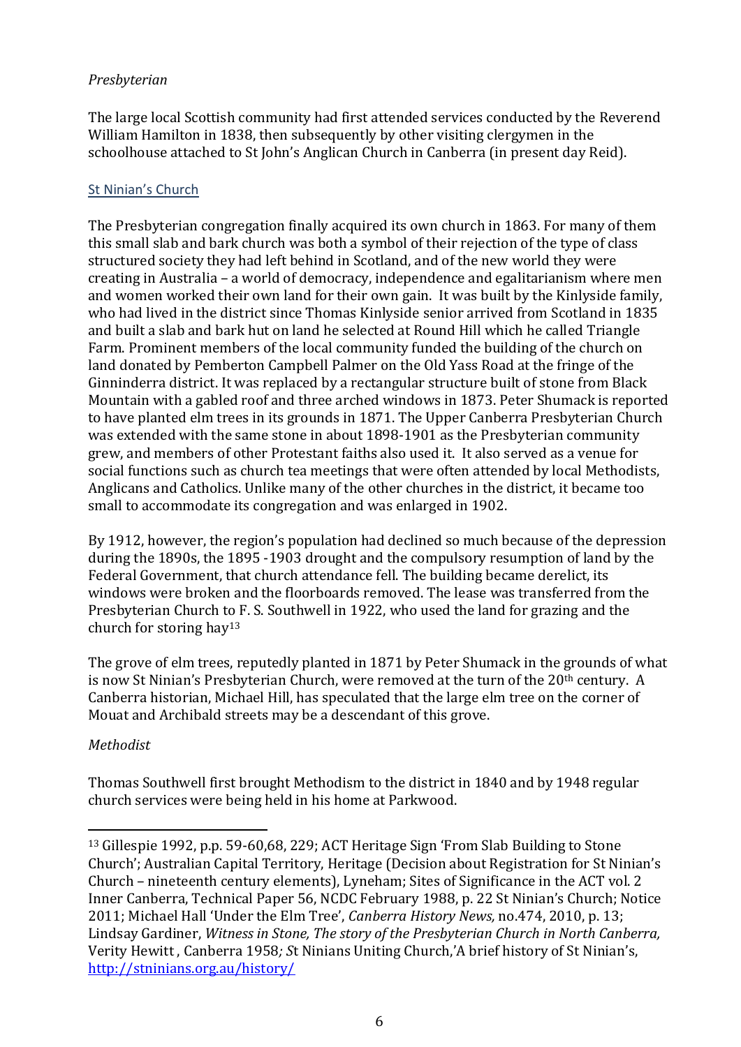#### <span id="page-6-0"></span>*Presbyterian*

The large local Scottish community had first attended services conducted by the Reverend William Hamilton in 1838, then subsequently by other visiting clergymen in the schoolhouse attached to St John's Anglican Church in Canberra (in present day Reid).

## <span id="page-6-1"></span>St Ninian's Church

The Presbyterian congregation finally acquired its own church in 1863. For many of them this small slab and bark church was both a symbol of their rejection of the type of class structured society they had left behind in Scotland, and of the new world they were creating in Australia – a world of democracy, independence and egalitarianism where men and women worked their own land for their own gain. It was built by the Kinlyside family, who had lived in the district since Thomas Kinlyside senior arrived from Scotland in 1835 and built a slab and bark hut on land he selected at Round Hill which he called Triangle Farm. Prominent members of the local community funded the building of the church on land donated by Pemberton Campbell Palmer on the Old Yass Road at the fringe of the Ginninderra district. It was replaced by a rectangular structure built of stone from Black Mountain with a gabled roof and three arched windows in 1873. Peter Shumack is reported to have planted elm trees in its grounds in 1871. The Upper Canberra Presbyterian Church was extended with the same stone in about 1898-1901 as the Presbyterian community grew, and members of other Protestant faiths also used it. It also served as a venue for social functions such as church tea meetings that were often attended by local Methodists, Anglicans and Catholics. Unlike many of the other churches in the district, it became too small to accommodate its congregation and was enlarged in 1902.

By 1912, however, the region's population had declined so much because of the depression during the 1890s, the 1895 -1903 drought and the compulsory resumption of land by the Federal Government, that church attendance fell. The building became derelict, its windows were broken and the floorboards removed. The lease was transferred from the Presbyterian Church to F. S. Southwell in 1922, who used the land for grazing and the church for storing hay<sup>13</sup>

The grove of elm trees, reputedly planted in 1871 by Peter Shumack in the grounds of what is now St Ninian's Presbyterian Church, were removed at the turn of the 20<sup>th</sup> century. A Canberra historian, Michael Hill, has speculated that the large elm tree on the corner of Mouat and Archibald streets may be a descendant of this grove.

## <span id="page-6-2"></span>*Methodist*

Thomas Southwell first brought Methodism to the district in 1840 and by 1948 regular church services were being held in his home at Parkwood.

<sup>13</sup> Gillespie 1992, p.p. 59-60,68, 229; ACT Heritage Sign 'From Slab Building to Stone Church'; Australian Capital Territory, Heritage (Decision about Registration for St Ninian's Church – nineteenth century elements), Lyneham; Sites of Significance in the ACT vol. 2 Inner Canberra, Technical Paper 56, NCDC February 1988, p. 22 St Ninian's Church; Notice 2011; Michael Hall 'Under the Elm Tree', *Canberra History News,* no.474, 2010, p. 13; Lindsay Gardiner, *Witness in Stone, The story of the Presbyterian Church in North Canberra,*  Verity Hewitt , Canberra 1958*; S*t Ninians Uniting Church,'A brief history of St Ninian's, http://stninians.org.au/history/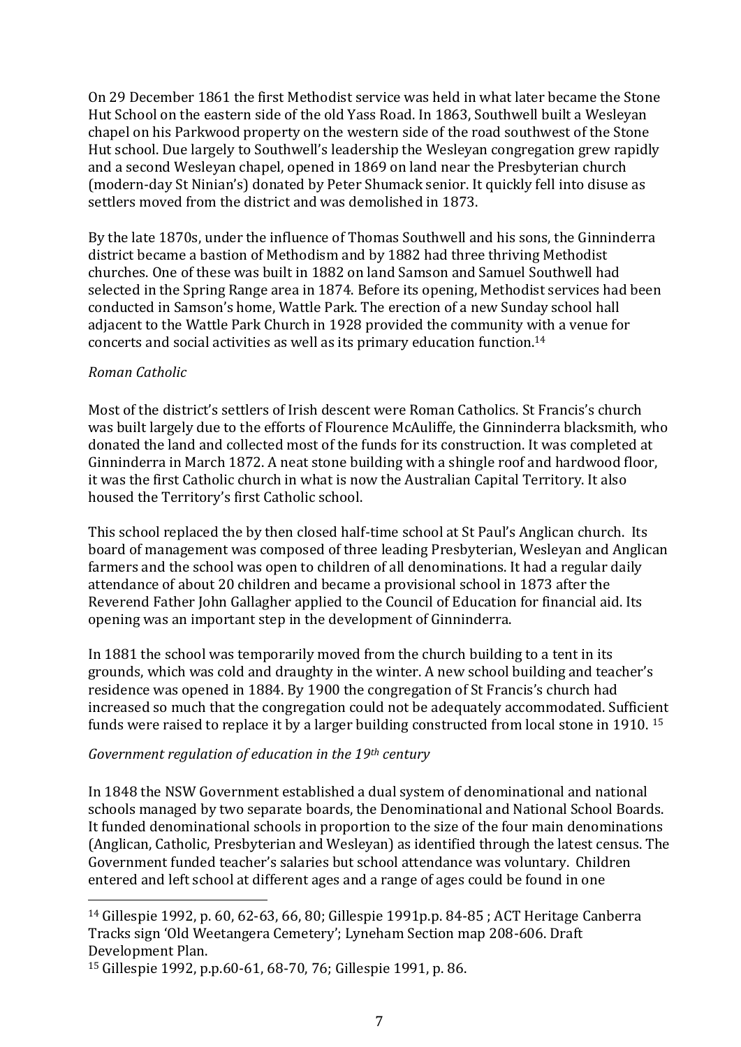On 29 December 1861 the first Methodist service was held in what later became the Stone Hut School on the eastern side of the old Yass Road. In 1863, Southwell built a Wesleyan chapel on his Parkwood property on the western side of the road southwest of the Stone Hut school. Due largely to Southwell's leadership the Wesleyan congregation grew rapidly and a second Wesleyan chapel, opened in 1869 on land near the Presbyterian church (modern-day St Ninian's) donated by Peter Shumack senior. It quickly fell into disuse as settlers moved from the district and was demolished in 1873.

By the late 1870s, under the influence of Thomas Southwell and his sons, the Ginninderra district became a bastion of Methodism and by 1882 had three thriving Methodist churches. One of these was built in 1882 on land Samson and Samuel Southwell had selected in the Spring Range area in 1874. Before its opening, Methodist services had been conducted in Samson's home, Wattle Park. The erection of a new Sunday school hall adjacent to the Wattle Park Church in 1928 provided the community with a venue for concerts and social activities as well as its primary education function.<sup>14</sup>

#### <span id="page-7-0"></span>*Roman Catholic*

Most of the district's settlers of Irish descent were Roman Catholics. St Francis's church was built largely due to the efforts of Flourence McAuliffe, the Ginninderra blacksmith, who donated the land and collected most of the funds for its construction. It was completed at Ginninderra in March 1872. A neat stone building with a shingle roof and hardwood floor, it was the first Catholic church in what is now the Australian Capital Territory. It also housed the Territory's first Catholic school.

This school replaced the by then closed half-time school at St Paul's Anglican church. Its board of management was composed of three leading Presbyterian, Wesleyan and Anglican farmers and the school was open to children of all denominations. It had a regular daily attendance of about 20 children and became a provisional school in 1873 after the Reverend Father John Gallagher applied to the Council of Education for financial aid. Its opening was an important step in the development of Ginninderra.

In 1881 the school was temporarily moved from the church building to a tent in its grounds, which was cold and draughty in the winter. A new school building and teacher's residence was opened in 1884. By 1900 the congregation of St Francis's church had increased so much that the congregation could not be adequately accommodated. Sufficient funds were raised to replace it by a larger building constructed from local stone in 1910. <sup>15</sup>

## <span id="page-7-1"></span>*Government regulation of education in the 19th century*

In 1848 the NSW Government established a dual system of denominational and national schools managed by two separate boards, the Denominational and National School Boards. It funded denominational schools in proportion to the size of the four main denominations (Anglican, Catholic, Presbyterian and Wesleyan) as identified through the latest census. The Government funded teacher's salaries but school attendance was voluntary. Children entered and left school at different ages and a range of ages could be found in one

<sup>14</sup> Gillespie 1992, p. 60, 62-63, 66, 80; Gillespie 1991p.p. 84-85 ; ACT Heritage Canberra Tracks sign 'Old Weetangera Cemetery'; Lyneham Section map 208-606. Draft Development Plan.

<sup>15</sup> Gillespie 1992, p.p.60-61, 68-70, 76; Gillespie 1991, p. 86.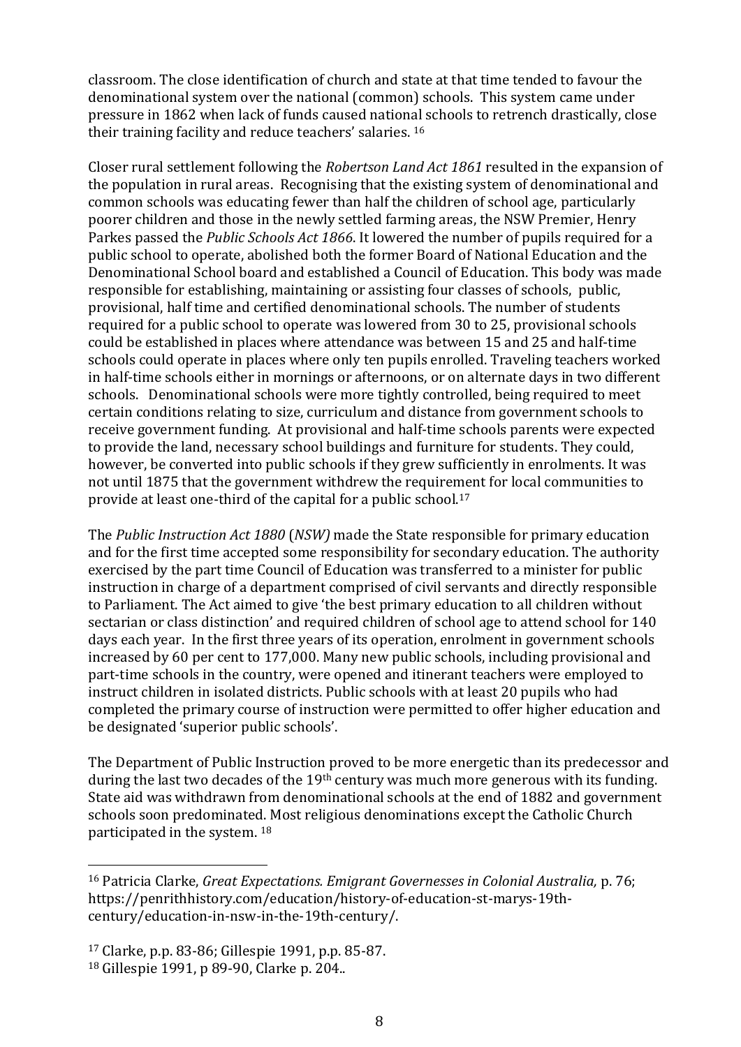classroom. The close identification of church and state at that time tended to favour the denominational system over the national (common) schools. This system came under pressure in 1862 when lack of funds caused national schools to retrench drastically, close their training facility and reduce teachers' salaries. <sup>16</sup>

Closer rural settlement following the *Robertson Land Act 1861* resulted in the expansion of the population in rural areas. Recognising that the existing system of denominational and common schools was educating fewer than half the children of school age, particularly poorer children and those in the newly settled farming areas, the NSW Premier, Henry Parkes passed the *Public Schools Act 1866*. It lowered the number of pupils required for a public school to operate, abolished both the former Board of National Education and the Denominational School board and established a Council of Education. This body was made responsible for establishing, maintaining or assisting four classes of schools, public, provisional, half time and certified denominational schools. The number of students required for a public school to operate was lowered from 30 to 25, provisional schools could be established in places where attendance was between 15 and 25 and half-time schools could operate in places where only ten pupils enrolled. Traveling teachers worked in half-time schools either in mornings or afternoons, or on alternate days in two different schools. Denominational schools were more tightly controlled, being required to meet certain conditions relating to size, curriculum and distance from government schools to receive government funding. At provisional and half-time schools parents were expected to provide the land, necessary school buildings and furniture for students. They could, however, be converted into public schools if they grew sufficiently in enrolments. It was not until 1875 that the government withdrew the requirement for local communities to provide at least one-third of the capital for a public school.<sup>17</sup>

The *Public Instruction Act 1880* (*NSW)* made the State responsible for primary education and for the first time accepted some responsibility for secondary education. The authority exercised by the part time Council of Education was transferred to a minister for public instruction in charge of a department comprised of civil servants and directly responsible to Parliament. The Act aimed to give 'the best primary education to all children without sectarian or class distinction' and required children of school age to attend school for 140 days each year. In the first three years of its operation, enrolment in government schools increased by 60 per cent to 177,000. Many new public schools, including provisional and part-time schools in the country, were opened and itinerant teachers were employed to instruct children in isolated districts. Public schools with at least 20 pupils who had completed the primary course of instruction were permitted to offer higher education and be designated 'superior public schools'.

The Department of Public Instruction proved to be more energetic than its predecessor and during the last two decades of the 19<sup>th</sup> century was much more generous with its funding. State aid was withdrawn from denominational schools at the end of 1882 and government schools soon predominated. Most religious denominations except the Catholic Church participated in the system. <sup>18</sup>

<sup>16</sup> Patricia Clarke, *Great Expectations. Emigrant Governesses in Colonial Australia,* p. 76; https://penrithhistory.com/education/history-of-education-st-marys-19thcentury/education-in-nsw-in-the-19th-century/.

<sup>17</sup> Clarke, p.p. 83-86; Gillespie 1991, p.p. 85-87.

<sup>18</sup> Gillespie 1991, p 89-90, Clarke p. 204..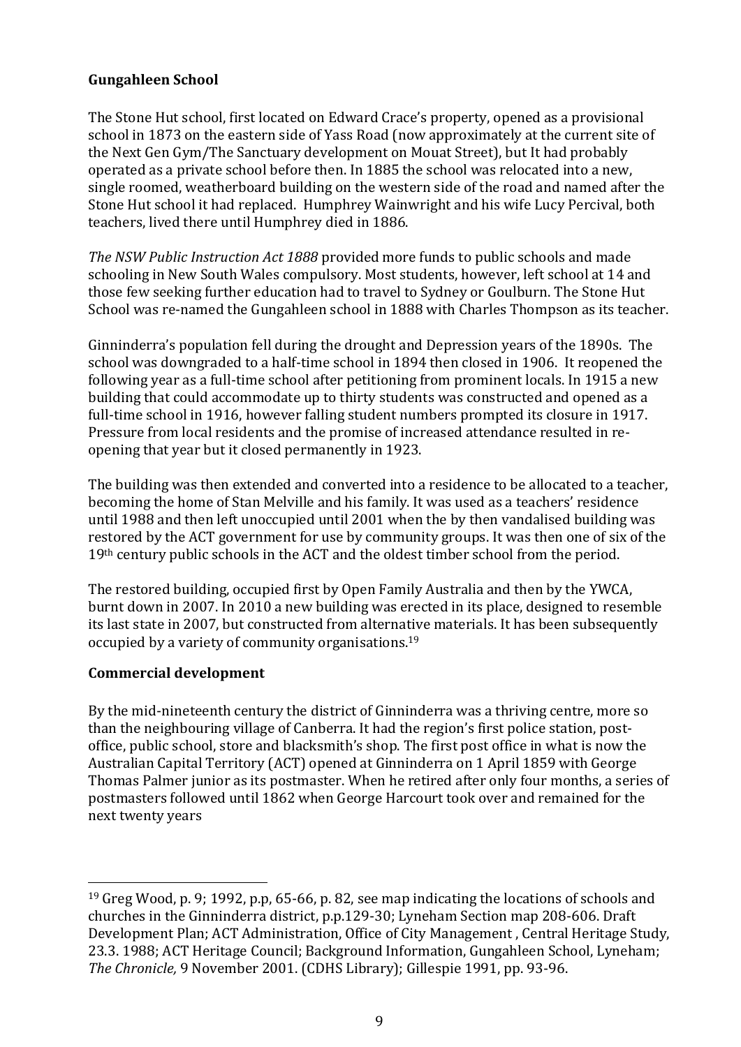## <span id="page-9-0"></span>**Gungahleen School**

The Stone Hut school, first located on Edward Crace's property, opened as a provisional school in 1873 on the eastern side of Yass Road (now approximately at the current site of the Next Gen Gym/The Sanctuary development on Mouat Street), but It had probably operated as a private school before then. In 1885 the school was relocated into a new, single roomed, weatherboard building on the western side of the road and named after the Stone Hut school it had replaced. Humphrey Wainwright and his wife Lucy Percival, both teachers, lived there until Humphrey died in 1886.

*The NSW Public Instruction Act 1888* provided more funds to public schools and made schooling in New South Wales compulsory. Most students, however, left school at 14 and those few seeking further education had to travel to Sydney or Goulburn. The Stone Hut School was re-named the Gungahleen school in 1888 with Charles Thompson as its teacher.

Ginninderra's population fell during the drought and Depression years of the 1890s. The school was downgraded to a half-time school in 1894 then closed in 1906. It reopened the following year as a full-time school after petitioning from prominent locals. In 1915 a new building that could accommodate up to thirty students was constructed and opened as a full-time school in 1916, however falling student numbers prompted its closure in 1917. Pressure from local residents and the promise of increased attendance resulted in reopening that year but it closed permanently in 1923.

The building was then extended and converted into a residence to be allocated to a teacher, becoming the home of Stan Melville and his family. It was used as a teachers' residence until 1988 and then left unoccupied until 2001 when the by then vandalised building was restored by the ACT government for use by community groups. It was then one of six of the 19<sup>th</sup> century public schools in the ACT and the oldest timber school from the period.

The restored building, occupied first by Open Family Australia and then by the YWCA, burnt down in 2007. In 2010 a new building was erected in its place, designed to resemble its last state in 2007, but constructed from alternative materials. It has been subsequently occupied by a variety of community organisations.<sup>19</sup>

## <span id="page-9-1"></span>**Commercial development**

By the mid-nineteenth century the district of Ginninderra was a thriving centre, more so than the neighbouring village of Canberra. It had the region's first police station, postoffice, public school, store and blacksmith's shop. The first post office in what is now the Australian Capital Territory (ACT) opened at Ginninderra on 1 April 1859 with George Thomas Palmer junior as its postmaster. When he retired after only four months, a series of postmasters followed until 1862 when George Harcourt took over and remained for the next twenty years

<sup>19</sup> Greg Wood, p. 9; 1992, p.p, 65-66, p. 82, see map indicating the locations of schools and churches in the Ginninderra district, p.p.129-30; Lyneham Section map 208-606. Draft Development Plan; ACT Administration, Office of City Management , Central Heritage Study, 23.3. 1988; ACT Heritage Council; Background Information, Gungahleen School, Lyneham; *The Chronicle,* 9 November 2001. (CDHS Library); Gillespie 1991, pp. 93-96.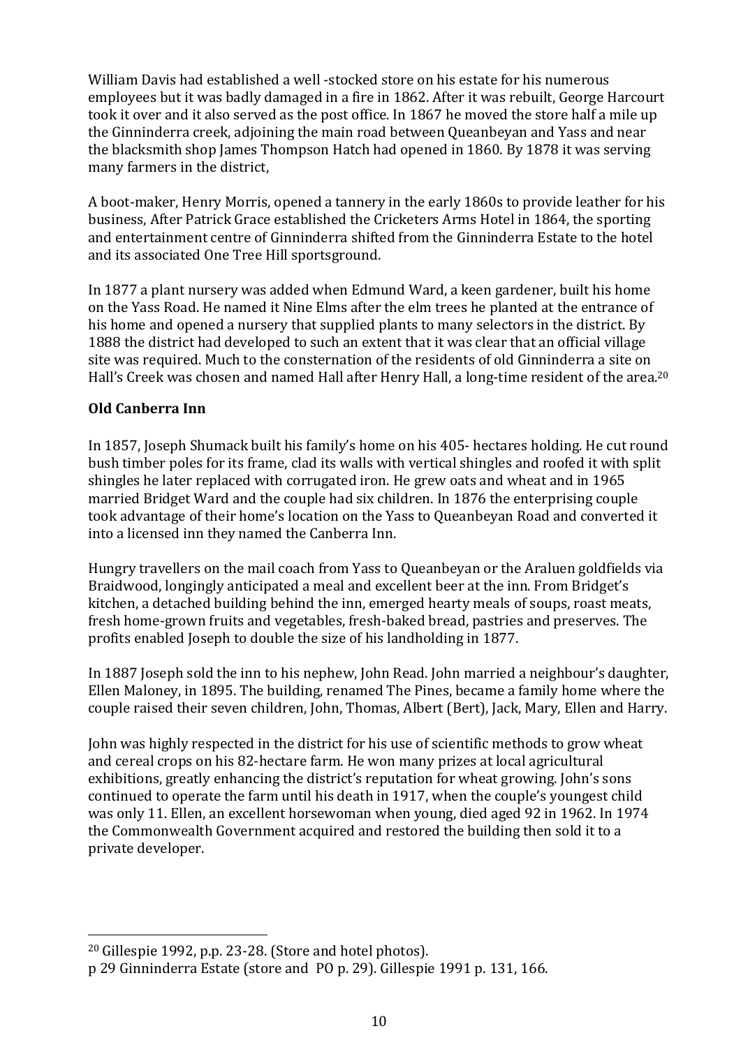William Davis had established a well -stocked store on his estate for his numerous employees but it was badly damaged in a fire in 1862. After it was rebuilt, George Harcourt took it over and it also served as the post office. In 1867 he moved the store half a mile up the Ginninderra creek, adjoining the main road between Queanbeyan and Yass and near the blacksmith shop James Thompson Hatch had opened in 1860. By 1878 it was serving many farmers in the district,

A boot-maker, Henry Morris, opened a tannery in the early 1860s to provide leather for his business, After Patrick Grace established the Cricketers Arms Hotel in 1864, the sporting and entertainment centre of Ginninderra shifted from the Ginninderra Estate to the hotel and its associated One Tree Hill sportsground.

In 1877 a plant nursery was added when Edmund Ward, a keen gardener, built his home on the Yass Road. He named it Nine Elms after the elm trees he planted at the entrance of his home and opened a nursery that supplied plants to many selectors in the district. By 1888 the district had developed to such an extent that it was clear that an official village site was required. Much to the consternation of the residents of old Ginninderra a site on Hall's Creek was chosen and named Hall after Henry Hall, a long-time resident of the area.<sup>20</sup>

## <span id="page-10-0"></span>**Old Canberra Inn**

In 1857, Joseph Shumack built his family's home on his 405- hectares holding. He cut round bush timber poles for its frame, clad its walls with vertical shingles and roofed it with split shingles he later replaced with corrugated iron. He grew oats and wheat and in 1965 married Bridget Ward and the couple had six children. In 1876 the enterprising couple took advantage of their home's location on the Yass to Queanbeyan Road and converted it into a licensed inn they named the Canberra Inn.

Hungry travellers on the mail coach from Yass to Queanbeyan or the Araluen goldfields via Braidwood, longingly anticipated a meal and excellent beer at the inn. From Bridget's kitchen, a detached building behind the inn, emerged hearty meals of soups, roast meats, fresh home-grown fruits and vegetables, fresh-baked bread, pastries and preserves. The profits enabled Joseph to double the size of his landholding in 1877.

In 1887 Joseph sold the inn to his nephew, John Read. John married a neighbour's daughter, Ellen Maloney, in 1895. The building, renamed The Pines, became a family home where the couple raised their seven children, John, Thomas, Albert (Bert), Jack, Mary, Ellen and Harry.

John was highly respected in the district for his use of scientific methods to grow wheat and cereal crops on his 82-hectare farm. He won many prizes at local agricultural exhibitions, greatly enhancing the district's reputation for wheat growing. John's sons continued to operate the farm until his death in 1917, when the couple's youngest child was only 11. Ellen, an excellent horsewoman when young, died aged 92 in 1962. In 1974 the Commonwealth Government acquired and restored the building then sold it to a private developer.

<sup>20</sup> Gillespie 1992, p.p. 23-28. (Store and hotel photos).

p 29 Ginninderra Estate (store and PO p. 29). Gillespie 1991 p. 131, 166.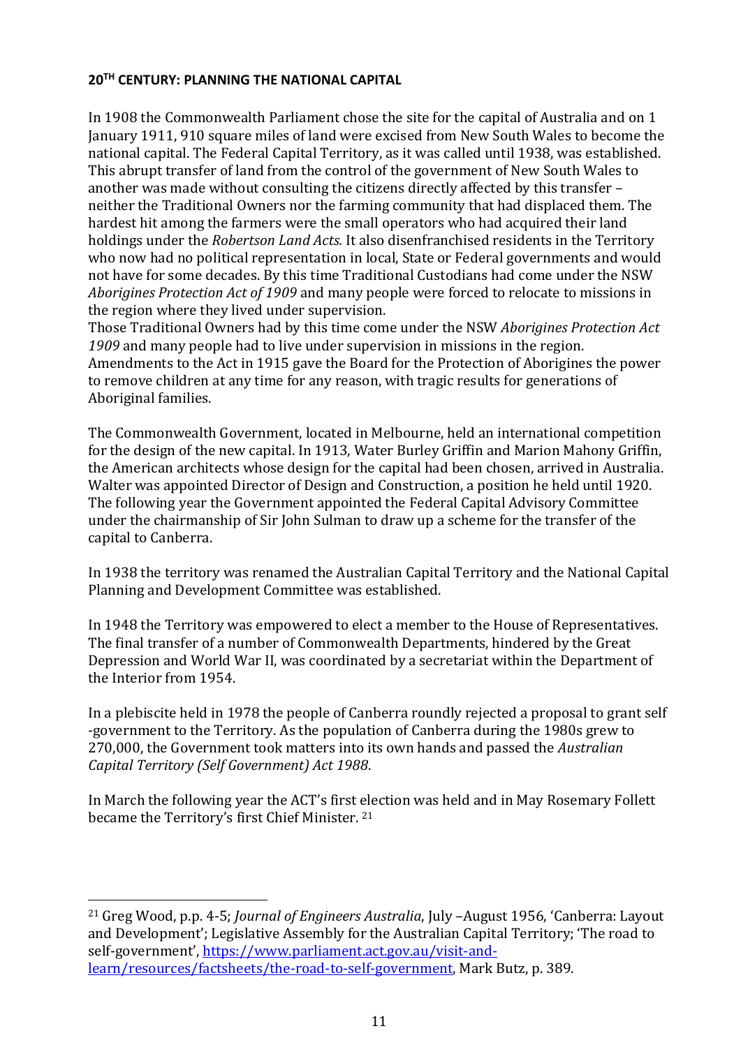#### <span id="page-11-0"></span>**20TH CENTURY: PLANNING THE NATIONAL CAPITAL**

In 1908 the Commonwealth Parliament chose the site for the capital of Australia and on 1 January 1911, 910 square miles of land were excised from New South Wales to become the national capital. The Federal Capital Territory, as it was called until 1938, was established. This abrupt transfer of land from the control of the government of New South Wales to another was made without consulting the citizens directly affected by this transfer – neither the Traditional Owners nor the farming community that had displaced them. The hardest hit among the farmers were the small operators who had acquired their land holdings under the *Robertson Land Acts.* It also disenfranchised residents in the Territory who now had no political representation in local, State or Federal governments and would not have for some decades. By this time Traditional Custodians had come under the NSW *Aborigines Protection Act of 1909* and many people were forced to relocate to missions in the region where they lived under supervision.

Those Traditional Owners had by this time come under the NSW *Aborigines Protection Act 1909* and many people had to live under supervision in missions in the region. Amendments to the Act in 1915 gave the Board for the Protection of Aborigines the power to remove children at any time for any reason, with tragic results for generations of Aboriginal families.

The Commonwealth Government, located in Melbourne, held an international competition for the design of the new capital. In 1913, Water Burley Griffin and Marion Mahony Griffin, the American architects whose design for the capital had been chosen, arrived in Australia. Walter was appointed Director of Design and Construction, a position he held until 1920. The following year the Government appointed the Federal Capital Advisory Committee under the chairmanship of Sir John Sulman to draw up a scheme for the transfer of the capital to Canberra.

In 1938 the territory was renamed the Australian Capital Territory and the National Capital Planning and Development Committee was established.

In 1948 the Territory was empowered to elect a member to the House of Representatives. The final transfer of a number of Commonwealth Departments, hindered by the Great Depression and World War II, was coordinated by a secretariat within the Department of the Interior from 1954.

In a plebiscite held in 1978 the people of Canberra roundly rejected a proposal to grant self -government to the Territory. As the population of Canberra during the 1980s grew to 270,000, the Government took matters into its own hands and passed the *Australian Capital Territory (Self Government) Act 1988*.

In March the following year the ACT's first election was held and in May Rosemary Follett became the Territory's first Chief Minister. <sup>21</sup>

<sup>21</sup> Greg Wood, p.p. 4-5; *Journal of Engineers Australia*, July –August 1956, 'Canberra: Layout and Development'; Legislative Assembly for the Australian Capital Territory; 'The road to self-government', [https://www.parliament.act.gov.au/visit-and](https://www.parliament.act.gov.au/visit-and-learn/resources/factsheets/the-road-to-self-government)[learn/resources/factsheets/the-road-to-self-government,](https://www.parliament.act.gov.au/visit-and-learn/resources/factsheets/the-road-to-self-government) Mark Butz, p. 389.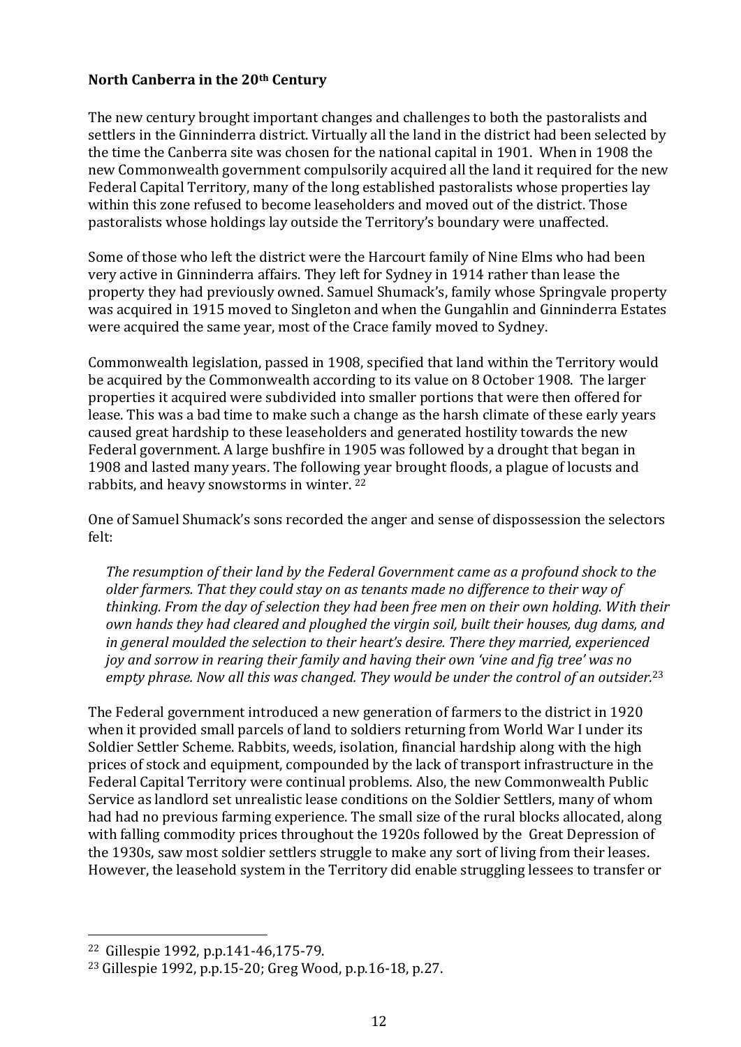#### <span id="page-12-0"></span>**North Canberra in the 20th Century**

The new century brought important changes and challenges to both the pastoralists and settlers in the Ginninderra district. Virtually all the land in the district had been selected by the time the Canberra site was chosen for the national capital in 1901. When in 1908 the new Commonwealth government compulsorily acquired all the land it required for the new Federal Capital Territory, many of the long established pastoralists whose properties lay within this zone refused to become leaseholders and moved out of the district. Those pastoralists whose holdings lay outside the Territory's boundary were unaffected.

Some of those who left the district were the Harcourt family of Nine Elms who had been very active in Ginninderra affairs. They left for Sydney in 1914 rather than lease the property they had previously owned. Samuel Shumack's, family whose Springvale property was acquired in 1915 moved to Singleton and when the Gungahlin and Ginninderra Estates were acquired the same year, most of the Crace family moved to Sydney.

Commonwealth legislation, passed in 1908, specified that land within the Territory would be acquired by the Commonwealth according to its value on 8 October 1908. The larger properties it acquired were subdivided into smaller portions that were then offered for lease. This was a bad time to make such a change as the harsh climate of these early years caused great hardship to these leaseholders and generated hostility towards the new Federal government. A large bushfire in 1905 was followed by a drought that began in 1908 and lasted many years. The following year brought floods, a plague of locusts and rabbits, and heavy snowstorms in winter. <sup>22</sup>

One of Samuel Shumack's sons recorded the anger and sense of dispossession the selectors felt:

*The resumption of their land by the Federal Government came as a profound shock to the older farmers. That they could stay on as tenants made no difference to their way of thinking. From the day of selection they had been free men on their own holding. With their own hands they had cleared and ploughed the virgin soil, built their houses, dug dams, and in general moulded the selection to their heart's desire. There they married, experienced joy and sorrow in rearing their family and having their own 'vine and fig tree' was no empty phrase. Now all this was changed. They would be under the control of an outsider.*<sup>23</sup>

The Federal government introduced a new generation of farmers to the district in 1920 when it provided small parcels of land to soldiers returning from World War I under its Soldier Settler Scheme. Rabbits, weeds, isolation, financial hardship along with the high prices of stock and equipment, compounded by the lack of transport infrastructure in the Federal Capital Territory were continual problems. Also, the new Commonwealth Public Service as landlord set unrealistic lease conditions on the Soldier Settlers, many of whom had had no previous farming experience. The small size of the rural blocks allocated, along with falling commodity prices throughout the 1920s followed by the Great Depression of the 1930s, saw most soldier settlers struggle to make any sort of living from their leases. However, the leasehold system in the Territory did enable struggling lessees to transfer or

<sup>22</sup> Gillespie 1992, p.p.141-46,175-79.

<sup>23</sup> Gillespie 1992, p.p.15-20; Greg Wood, p.p.16-18, p.27.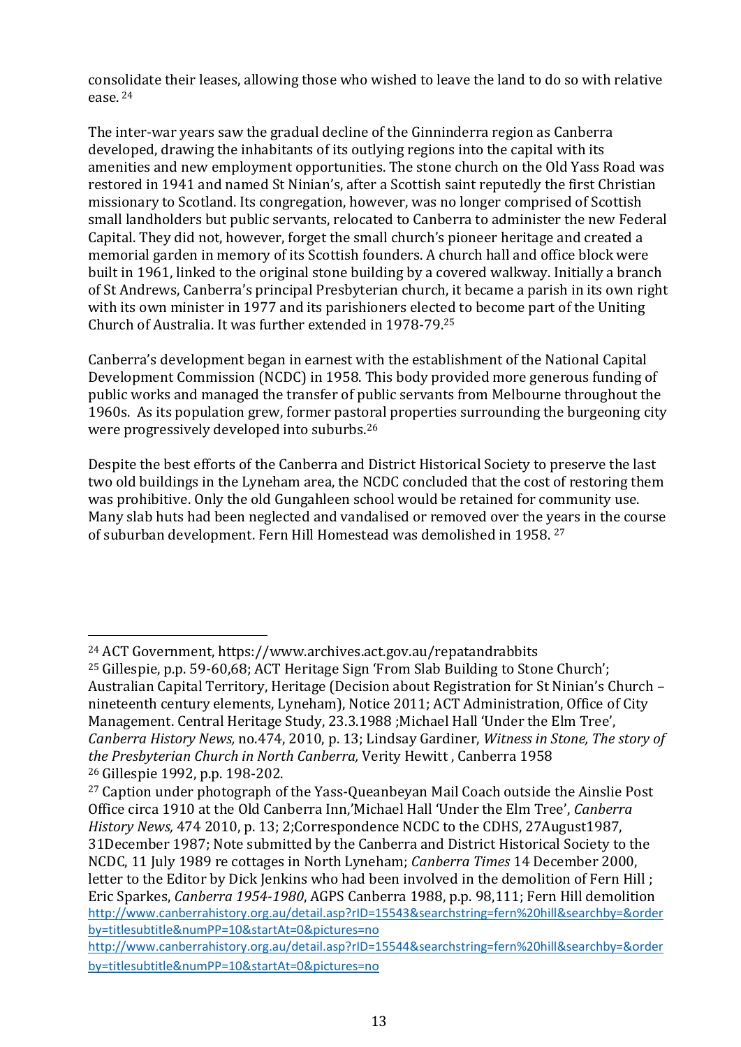consolidate their leases, allowing those who wished to leave the land to do so with relative ease. <sup>24</sup>

The inter-war years saw the gradual decline of the Ginninderra region as Canberra developed, drawing the inhabitants of its outlying regions into the capital with its amenities and new employment opportunities. The stone church on the Old Yass Road was restored in 1941 and named St Ninian's, after a Scottish saint reputedly the first Christian missionary to Scotland. Its congregation, however, was no longer comprised of Scottish small landholders but public servants, relocated to Canberra to administer the new Federal Capital. They did not, however, forget the small church's pioneer heritage and created a memorial garden in memory of its Scottish founders. A church hall and office block were built in 1961, linked to the original stone building by a covered walkway. Initially a branch of St Andrews, Canberra's principal Presbyterian church, it became a parish in its own right with its own minister in 1977 and its parishioners elected to become part of the Uniting Church of Australia. It was further extended in 1978-79.<sup>25</sup>

Canberra's development began in earnest with the establishment of the National Capital Development Commission (NCDC) in 1958. This body provided more generous funding of public works and managed the transfer of public servants from Melbourne throughout the 1960s. As its population grew, former pastoral properties surrounding the burgeoning city were progressively developed into suburbs.<sup>26</sup>

Despite the best efforts of the Canberra and District Historical Society to preserve the last two old buildings in the Lyneham area, the NCDC concluded that the cost of restoring them was prohibitive. Only the old Gungahleen school would be retained for community use. Many slab huts had been neglected and vandalised or removed over the years in the course of suburban development. Fern Hill Homestead was demolished in 1958. 27

<sup>24</sup> ACT Government, https://www.archives.act.gov.au/repatandrabbits

<sup>25</sup> Gillespie, p.p. 59-60,68; ACT Heritage Sign 'From Slab Building to Stone Church'; Australian Capital Territory, Heritage (Decision about Registration for St Ninian's Church – nineteenth century elements, Lyneham), Notice 2011; ACT Administration, Office of City Management. Central Heritage Study, 23.3.1988 ;Michael Hall 'Under the Elm Tree', *Canberra History News,* no.474, 2010, p. 13; Lindsay Gardiner, *Witness in Stone, The story of the Presbyterian Church in North Canberra,* Verity Hewitt , Canberra 1958 <sup>26</sup> Gillespie 1992, p.p. 198-202.

<sup>&</sup>lt;sup>27</sup> Caption under photograph of the Yass-Queanbeyan Mail Coach outside the Ainslie Post Office circa 1910 at the Old Canberra Inn,'Michael Hall 'Under the Elm Tree', *Canberra History News,* 474 2010, p. 13; 2;Correspondence NCDC to the CDHS, 27August1987, 31December 1987; Note submitted by the Canberra and District Historical Society to the NCDC, 11 July 1989 re cottages in North Lyneham; *Canberra Times* 14 December 2000, letter to the Editor by Dick Jenkins who had been involved in the demolition of Fern Hill : Eric Sparkes, *Canberra 1954-1980*, AGPS Canberra 1988, p.p. 98,111; Fern Hill demolition [http://www.canberrahistory.org.au/detail.asp?rID=15543&searchstring=fern%20hill&searchby=&order](http://www.canberrahistory.org.au/detail.asp?rID=15543&searchstring=fern%20hill&searchby=&orderby=titlesubtitle&numPP=10&startAt=0&pictures=no) [by=titlesubtitle&numPP=10&startAt=0&pictures=no](http://www.canberrahistory.org.au/detail.asp?rID=15543&searchstring=fern%20hill&searchby=&orderby=titlesubtitle&numPP=10&startAt=0&pictures=no)

[http://www.canberrahistory.org.au/detail.asp?rID=15544&searchstring=fern%20hill&searchby=&order](http://www.canberrahistory.org.au/detail.asp?rID=15544&searchstring=fern%20hill&searchby=&orderby=titlesubtitle&numPP=10&startAt=0&pictures=no) [by=titlesubtitle&numPP=10&startAt=0&pictures=no](http://www.canberrahistory.org.au/detail.asp?rID=15544&searchstring=fern%20hill&searchby=&orderby=titlesubtitle&numPP=10&startAt=0&pictures=no)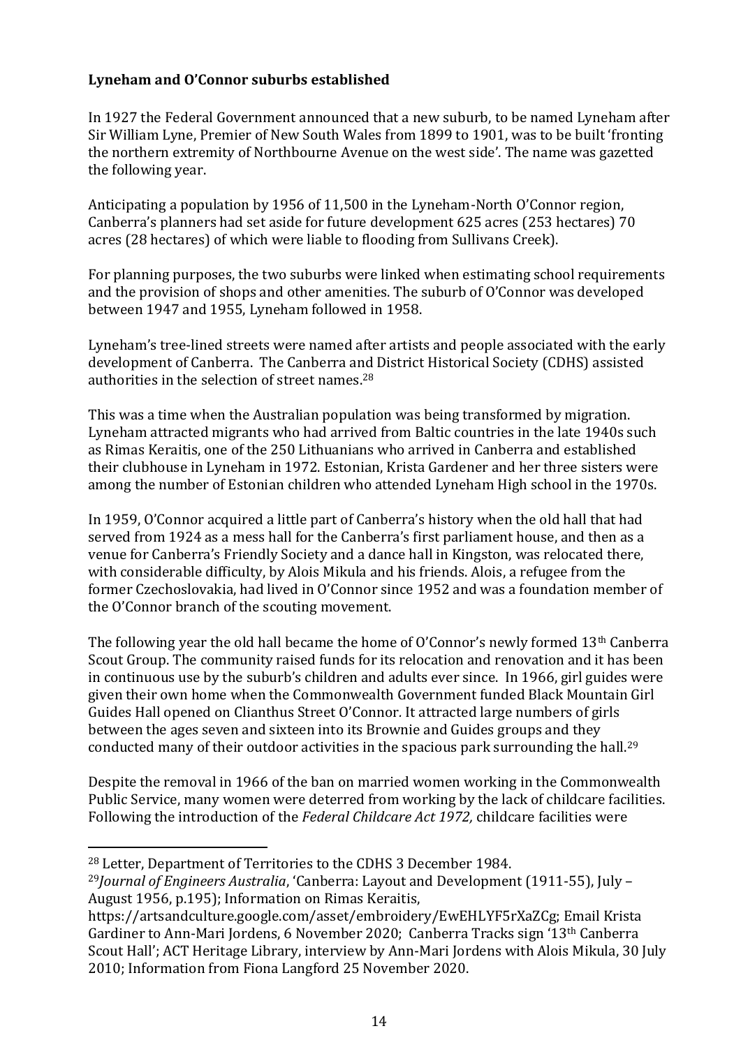## <span id="page-14-0"></span>**Lyneham and O'Connor suburbs established**

In 1927 the Federal Government announced that a new suburb, to be named Lyneham after Sir William Lyne, Premier of New South Wales from 1899 to 1901, was to be built 'fronting the northern extremity of Northbourne Avenue on the west side'. The name was gazetted the following year.

Anticipating a population by 1956 of 11,500 in the Lyneham-North O'Connor region, Canberra's planners had set aside for future development 625 acres (253 hectares) 70 acres (28 hectares) of which were liable to flooding from Sullivans Creek).

For planning purposes, the two suburbs were linked when estimating school requirements and the provision of shops and other amenities. The suburb of O'Connor was developed between 1947 and 1955, Lyneham followed in 1958.

Lyneham's tree-lined streets were named after artists and people associated with the early development of Canberra. The Canberra and District Historical Society (CDHS) assisted authorities in the selection of street names.<sup>28</sup>

This was a time when the Australian population was being transformed by migration. Lyneham attracted migrants who had arrived from Baltic countries in the late 1940s such as Rimas Keraitis, one of the 250 Lithuanians who arrived in Canberra and established their clubhouse in Lyneham in 1972. Estonian, Krista Gardener and her three sisters were among the number of Estonian children who attended Lyneham High school in the 1970s.

In 1959, O'Connor acquired a little part of Canberra's history when the old hall that had served from 1924 as a mess hall for the Canberra's first parliament house, and then as a venue for Canberra's Friendly Society and a dance hall in Kingston, was relocated there, with considerable difficulty, by Alois Mikula and his friends. Alois, a refugee from the former Czechoslovakia, had lived in O'Connor since 1952 and was a foundation member of the O'Connor branch of the scouting movement.

The following year the old hall became the home of O'Connor's newly formed  $13<sup>th</sup>$  Canberra Scout Group. The community raised funds for its relocation and renovation and it has been in continuous use by the suburb's children and adults ever since. In 1966, girl guides were given their own home when the Commonwealth Government funded Black Mountain Girl Guides Hall opened on Clianthus Street O'Connor*.* It attracted large numbers of girls between the ages seven and sixteen into its Brownie and Guides groups and they conducted many of their outdoor activities in the spacious park surrounding the hall.<sup>29</sup>

Despite the removal in 1966 of the ban on married women working in the Commonwealth Public Service, many women were deterred from working by the lack of childcare facilities. Following the introduction of the *Federal Childcare Act 1972,* childcare facilities were

<sup>28</sup> Letter, Department of Territories to the CDHS 3 December 1984.

<sup>29</sup>*Journal of Engineers Australia*, 'Canberra: Layout and Development (1911-55), July – August 1956, p.195); Information on Rimas Keraitis,

https://artsandculture.google.com/asset/embroidery/EwEHLYF5rXaZCg; Email Krista Gardiner to Ann-Mari Jordens, 6 November 2020; Canberra Tracks sign '13th Canberra Scout Hall'; ACT Heritage Library, interview by Ann-Mari Jordens with Alois Mikula, 30 July 2010; Information from Fiona Langford 25 November 2020.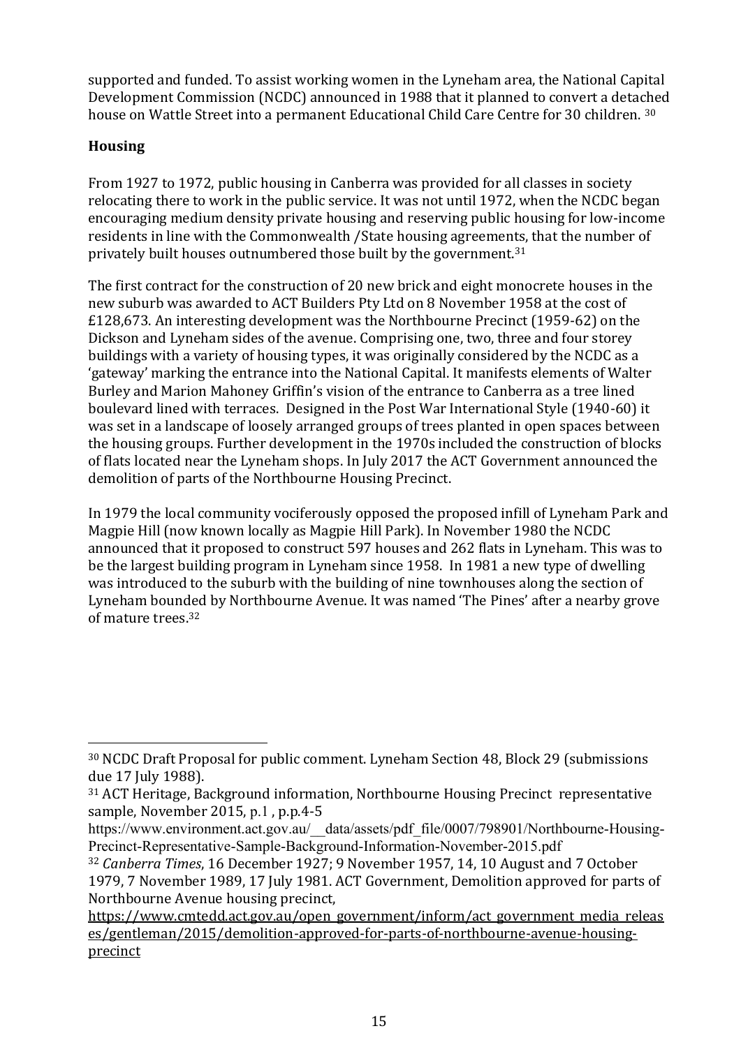supported and funded. To assist working women in the Lyneham area, the National Capital Development Commission (NCDC) announced in 1988 that it planned to convert a detached house on Wattle Street into a permanent Educational Child Care Centre for 30 children. 30

## <span id="page-15-0"></span>**Housing**

From 1927 to 1972, public housing in Canberra was provided for all classes in society relocating there to work in the public service. It was not until 1972, when the NCDC began encouraging medium density private housing and reserving public housing for low-income residents in line with the Commonwealth /State housing agreements, that the number of privately built houses outnumbered those built by the government.<sup>31</sup>

The first contract for the construction of 20 new brick and eight monocrete houses in the new suburb was awarded to ACT Builders Pty Ltd on 8 November 1958 at the cost of £128,673. An interesting development was the Northbourne Precinct (1959-62) on the Dickson and Lyneham sides of the avenue. Comprising one, two, three and four storey buildings with a variety of housing types, it was originally considered by the NCDC as a 'gateway' marking the entrance into the National Capital. It manifests elements of Walter Burley and Marion Mahoney Griffin's vision of the entrance to Canberra as a tree lined boulevard lined with terraces. Designed in the Post War International Style (1940-60) it was set in a landscape of loosely arranged groups of trees planted in open spaces between the housing groups. Further development in the 1970s included the construction of blocks of flats located near the Lyneham shops. In July 2017 the ACT Government announced the demolition of parts of the Northbourne Housing Precinct.

In 1979 the local community vociferously opposed the proposed infill of Lyneham Park and Magpie Hill (now known locally as Magpie Hill Park). In November 1980 the NCDC announced that it proposed to construct 597 houses and 262 flats in Lyneham. This was to be the largest building program in Lyneham since 1958. In 1981 a new type of dwelling was introduced to the suburb with the building of nine townhouses along the section of Lyneham bounded by Northbourne Avenue. It was named 'The Pines' after a nearby grove of mature trees.<sup>32</sup>

<sup>30</sup> NCDC Draft Proposal for public comment. Lyneham Section 48, Block 29 (submissions due 17 July 1988).

<sup>31</sup> ACT Heritage, Background information, Northbourne Housing Precinct representative sample, November 2015, p.1 , p.p.4-5

https://www.environment.act.gov.au/\_\_data/assets/pdf\_file/0007/798901/Northbourne-Housing-Precinct-Representative-Sample-Background-Information-November-2015.pdf

<sup>32</sup> *Canberra Times*, 16 December 1927; 9 November 1957, 14, 10 August and 7 October 1979, 7 November 1989, 17 July 1981. ACT Government, Demolition approved for parts of Northbourne Avenue housing precinct,

https://www.cmtedd.act.gov.au/open\_government/inform/act\_government\_media\_releas es/gentleman/2015/demolition-approved-for-parts-of-northbourne-avenue-housingprecinct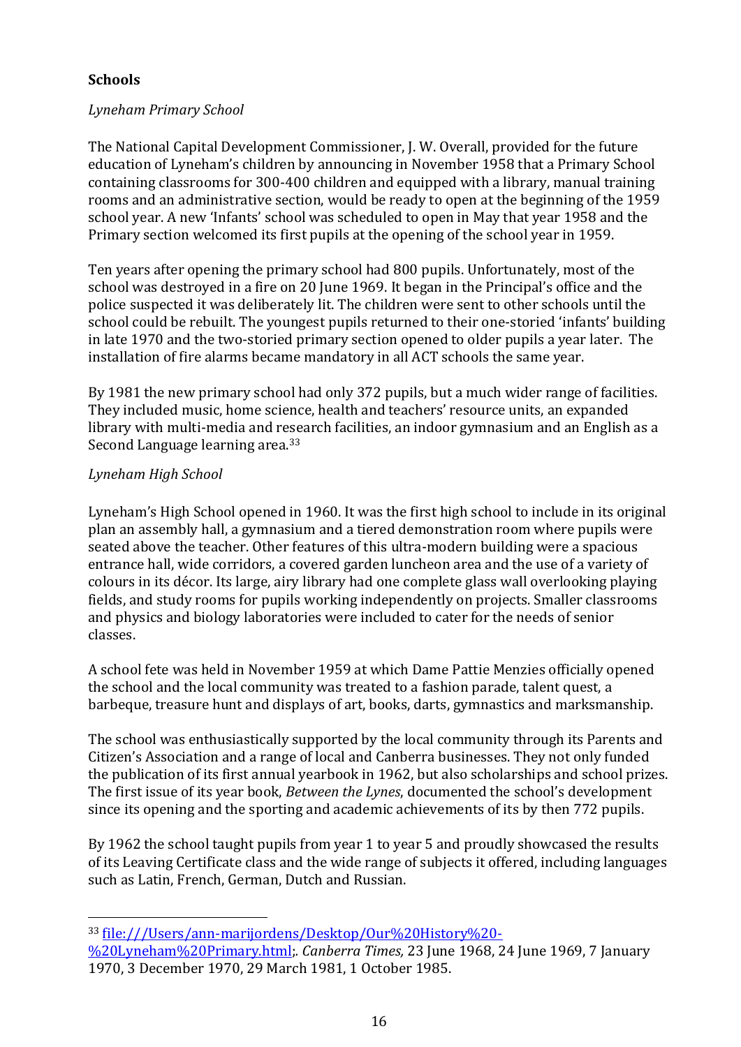## <span id="page-16-0"></span>**Schools**

## <span id="page-16-1"></span>*Lyneham Primary School*

The National Capital Development Commissioner, J. W. Overall, provided for the future education of Lyneham's children by announcing in November 1958 that a Primary School containing classrooms for 300-400 children and equipped with a library, manual training rooms and an administrative section, would be ready to open at the beginning of the 1959 school year. A new 'Infants' school was scheduled to open in May that year 1958 and the Primary section welcomed its first pupils at the opening of the school year in 1959.

Ten years after opening the primary school had 800 pupils. Unfortunately, most of the school was destroyed in a fire on 20 June 1969. It began in the Principal's office and the police suspected it was deliberately lit. The children were sent to other schools until the school could be rebuilt. The youngest pupils returned to their one-storied 'infants' building in late 1970 and the two-storied primary section opened to older pupils a year later. The installation of fire alarms became mandatory in all ACT schools the same year.

By 1981 the new primary school had only 372 pupils, but a much wider range of facilities. They included music, home science, health and teachers' resource units, an expanded library with multi-media and research facilities, an indoor gymnasium and an English as a Second Language learning area.<sup>33</sup>

## <span id="page-16-2"></span>*Lyneham High School*

Lyneham's High School opened in 1960. It was the first high school to include in its original plan an assembly hall, a gymnasium and a tiered demonstration room where pupils were seated above the teacher. Other features of this ultra-modern building were a spacious entrance hall, wide corridors, a covered garden luncheon area and the use of a variety of colours in its décor. Its large, airy library had one complete glass wall overlooking playing fields, and study rooms for pupils working independently on projects. Smaller classrooms and physics and biology laboratories were included to cater for the needs of senior classes.

A school fete was held in November 1959 at which Dame Pattie Menzies officially opened the school and the local community was treated to a fashion parade, talent quest, a barbeque, treasure hunt and displays of art, books, darts, gymnastics and marksmanship.

The school was enthusiastically supported by the local community through its Parents and Citizen's Association and a range of local and Canberra businesses. They not only funded the publication of its first annual yearbook in 1962, but also scholarships and school prizes. The first issue of its year book, *Between the Lynes*, documented the school's development since its opening and the sporting and academic achievements of its by then 772 pupils.

By 1962 the school taught pupils from year 1 to year 5 and proudly showcased the results of its Leaving Certificate class and the wide range of subjects it offered, including languages such as Latin, French, German, Dutch and Russian.

<sup>33</sup> [file:///Users/ann-marijordens/Desktop/Our%20History%20-](http://../Desktop/Our%20History%20-%20Lyneham%20Primary.html)

[<sup>%20</sup>Lyneham%20Primary.html;](http://../Desktop/Our%20History%20-%20Lyneham%20Primary.html)*. Canberra Times,* 23 June 1968, 24 June 1969, 7 January 1970, 3 December 1970, 29 March 1981, 1 October 1985.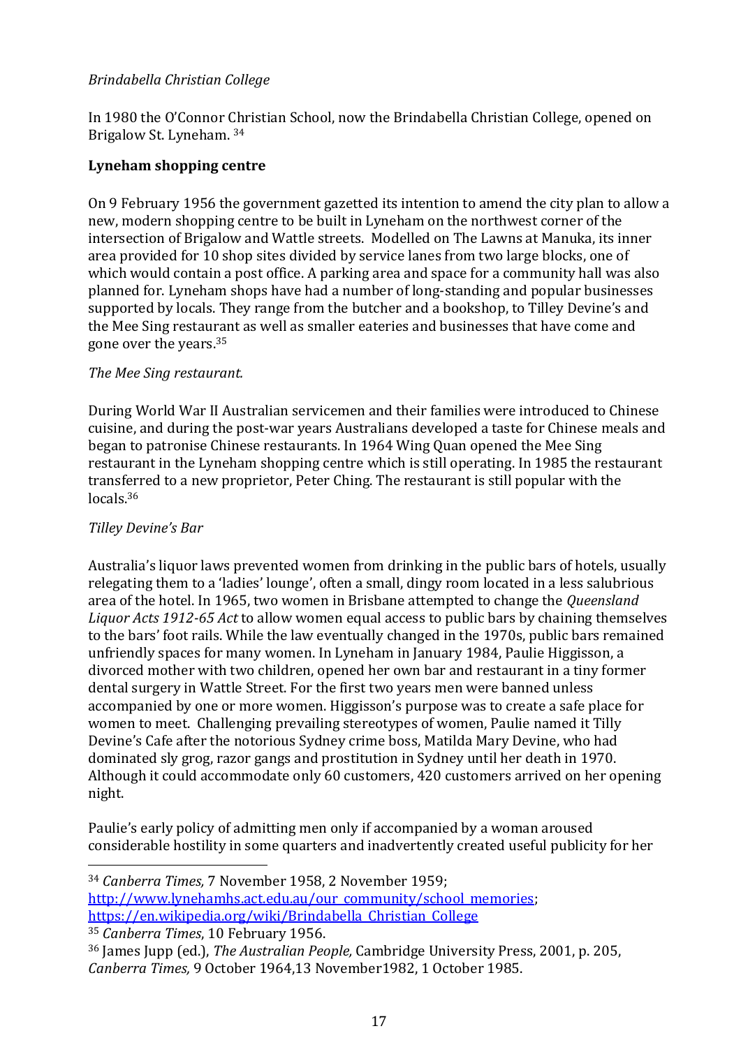## <span id="page-17-0"></span>*Brindabella Christian College*

In 1980 the O'Connor Christian School, now the Brindabella Christian College, opened on Brigalow St. Lyneham. <sup>34</sup>

#### <span id="page-17-1"></span>**Lyneham shopping centre**

On 9 February 1956 the government gazetted its intention to amend the city plan to allow a new, modern shopping centre to be built in Lyneham on the northwest corner of the intersection of Brigalow and Wattle streets. Modelled on The Lawns at Manuka, its inner area provided for 10 shop sites divided by service lanes from two large blocks, one of which would contain a post office. A parking area and space for a community hall was also planned for. Lyneham shops have had a number of long-standing and popular businesses supported by locals. They range from the butcher and a bookshop, to Tilley Devine's and the Mee Sing restaurant as well as smaller eateries and businesses that have come and gone over the years.<sup>35</sup>

#### <span id="page-17-2"></span>*The Mee Sing restaurant.*

During World War II Australian servicemen and their families were introduced to Chinese cuisine, and during the post-war years Australians developed a taste for Chinese meals and began to patronise Chinese restaurants. In 1964 Wing Quan opened the Mee Sing restaurant in the Lyneham shopping centre which is still operating. In 1985 the restaurant transferred to a new proprietor, Peter Ching. The restaurant is still popular with the locals.<sup>36</sup>

#### <span id="page-17-3"></span>*Tilley Devine's Bar*

Australia's liquor laws prevented women from drinking in the public bars of hotels, usually relegating them to a 'ladies' lounge', often a small, dingy room located in a less salubrious area of the hotel. In 1965, two women in Brisbane attempted to change the *Queensland Liquor Acts 1912-65 Act* to allow women equal access to public bars by chaining themselves to the bars' foot rails. While the law eventually changed in the 1970s, public bars remained unfriendly spaces for many women. In Lyneham in January 1984, Paulie Higgisson, a divorced mother with two children, opened her own bar and restaurant in a tiny former dental surgery in Wattle Street. For the first two years men were banned unless accompanied by one or more women. Higgisson's purpose was to create a safe place for women to meet. Challenging prevailing stereotypes of women, Paulie named it Tilly Devine's Cafe after the notorious Sydney crime boss, Matilda Mary Devine, who had dominated sly grog, razor gangs and prostitution in Sydney until her death in 1970. Although it could accommodate only 60 customers, 420 customers arrived on her opening night.

Paulie's early policy of admitting men only if accompanied by a woman aroused considerable hostility in some quarters and inadvertently created useful publicity for her

<sup>34</sup> *Canberra Times,* 7 November 1958, 2 November 1959;

[http://www.lynehamhs.act.edu.au/our\\_community/school\\_memories;](http://www.lynehamhs.act.edu.au/our_community/school_memories) [https://en.wikipedia.org/wiki/Brindabella\\_Christian\\_College](https://en.wikipedia.org/wiki/Brindabella_Christian_College) <sup>35</sup> *Canberra Times*, 10 February 1956.

<sup>36</sup> James Jupp (ed.), *The Australian People,* Cambridge University Press, 2001, p. 205, *Canberra Times,* 9 October 1964,13 November1982, 1 October 1985.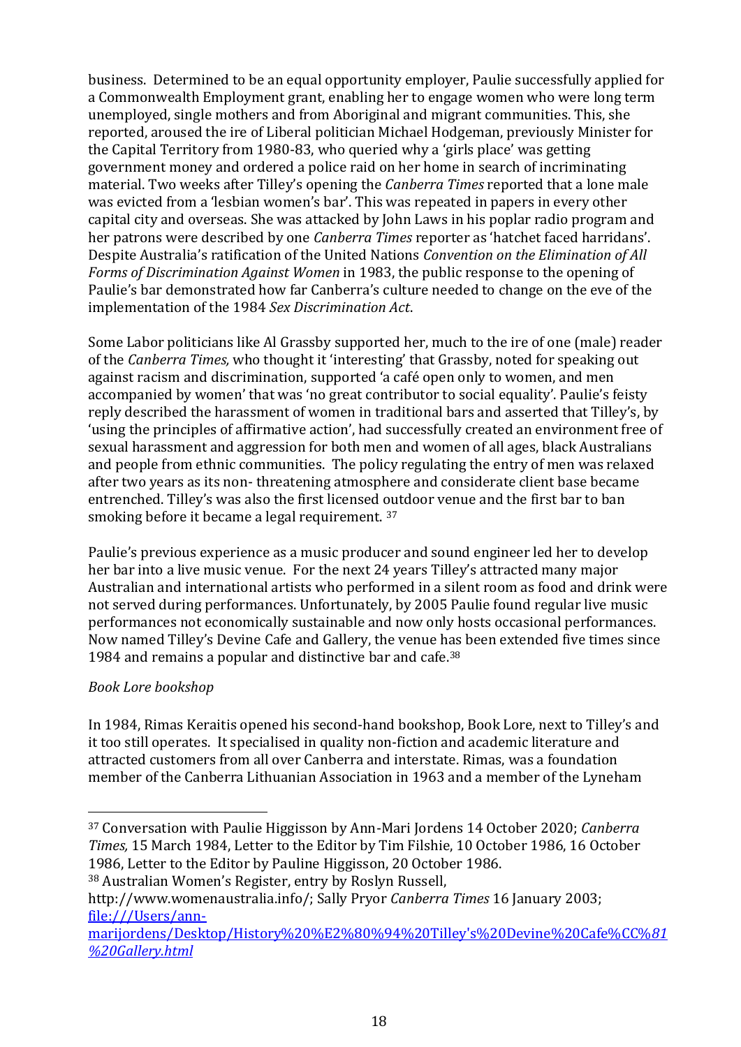business. Determined to be an equal opportunity employer, Paulie successfully applied for a Commonwealth Employment grant, enabling her to engage women who were long term unemployed, single mothers and from Aboriginal and migrant communities. This, she reported, aroused the ire of Liberal politician Michael Hodgeman, previously Minister for the Capital Territory from 1980-83, who queried why a 'girls place' was getting government money and ordered a police raid on her home in search of incriminating material. Two weeks after Tilley's opening the *Canberra Times* reported that a lone male was evicted from a 'lesbian women's bar'. This was repeated in papers in every other capital city and overseas. She was attacked by John Laws in his poplar radio program and her patrons were described by one *Canberra Times* reporter as 'hatchet faced harridans'. Despite Australia's ratification of the United Nations *Convention on the Elimination of All Forms of Discrimination Against Women* in 1983, the public response to the opening of Paulie's bar demonstrated how far Canberra's culture needed to change on the eve of the implementation of the 1984 *Sex Discrimination Act*.

Some Labor politicians like Al Grassby supported her, much to the ire of one (male) reader of the *Canberra Times,* who thought it 'interesting' that Grassby, noted for speaking out against racism and discrimination, supported 'a café open only to women, and men accompanied by women' that was 'no great contributor to social equality'. Paulie's feisty reply described the harassment of women in traditional bars and asserted that Tilley's, by 'using the principles of affirmative action', had successfully created an environment free of sexual harassment and aggression for both men and women of all ages, black Australians and people from ethnic communities. The policy regulating the entry of men was relaxed after two years as its non- threatening atmosphere and considerate client base became entrenched. Tilley's was also the first licensed outdoor venue and the first bar to ban smoking before it became a legal requirement. <sup>37</sup>

Paulie's previous experience as a music producer and sound engineer led her to develop her bar into a live music venue. For the next 24 years Tilley's attracted many major Australian and international artists who performed in a silent room as food and drink were not served during performances. Unfortunately, by 2005 Paulie found regular live music performances not economically sustainable and now only hosts occasional performances. Now named Tilley's Devine Cafe and Gallery, the venue has been extended five times since 1984 and remains a popular and distinctive bar and cafe.<sup>38</sup>

## <span id="page-18-0"></span>*Book Lore bookshop*

In 1984, Rimas Keraitis opened his second-hand bookshop, Book Lore, next to Tilley's and it too still operates. It specialised in quality non-fiction and academic literature and attracted customers from all over Canberra and interstate. Rimas, was a foundation member of the Canberra Lithuanian Association in 1963 and a member of the Lyneham

<sup>37</sup> Conversation with Paulie Higgisson by Ann-Mari Jordens 14 October 2020; *Canberra Times,* 15 March 1984, Letter to the Editor by Tim Filshie, 10 October 1986, 16 October 1986, Letter to the Editor by Pauline Higgisson, 20 October 1986.

<sup>38</sup> Australian Women's Register, entry by Roslyn Russell,

http://www.womenaustralia.info/; Sally Pryor *Canberra Times* 16 January 2003; [file:///Users/ann-](http://../Desktop/History%20%E2%80%94%20Tilley)

[marijordens/Desktop/History%20%E2%80%94%20Tilley's%20Devine%20Cafe%CC%](http://../Desktop/History%20%E2%80%94%20Tilley)*[81](http://../Desktop/History%20%E2%80%94%20Tilley) [%20Gallery.html](http://../Desktop/History%20%E2%80%94%20Tilley)*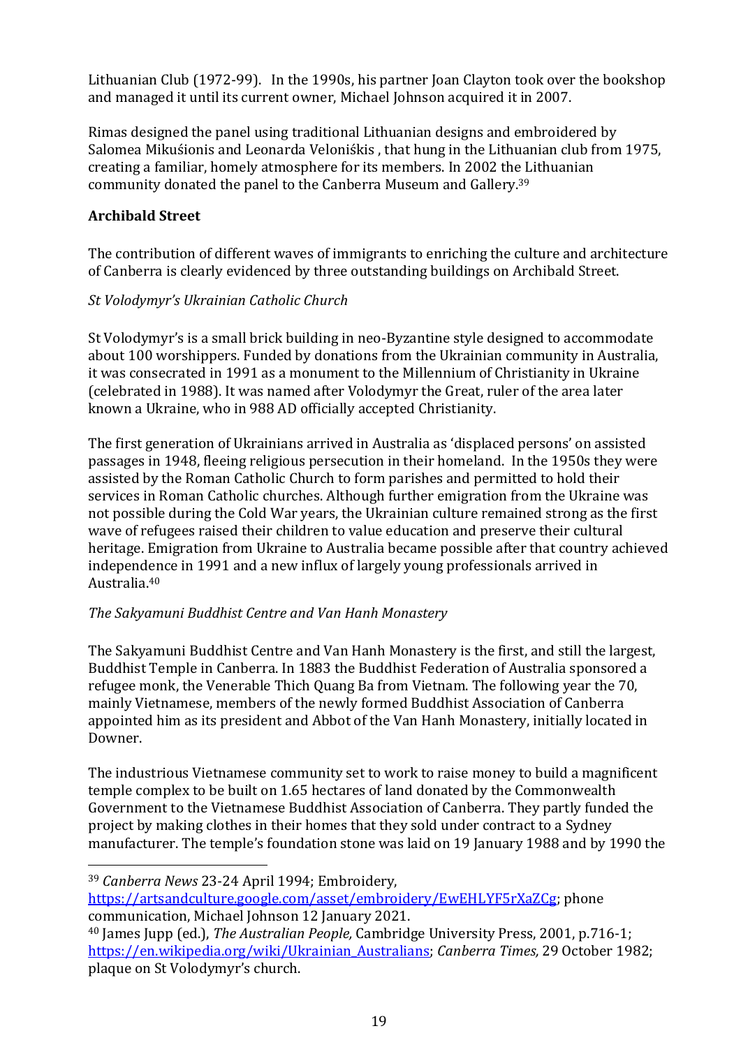Lithuanian Club (1972-99). In the 1990s, his partner Joan Clayton took over the bookshop and managed it until its current owner, Michael Johnson acquired it in 2007.

Rimas designed the panel using traditional Lithuanian designs and embroidered by Salomea Mikuśionis and Leonarda Veloniśkis , that hung in the Lithuanian club from 1975, creating a familiar, homely atmosphere for its members. In 2002 the Lithuanian community donated the panel to the Canberra Museum and Gallery.<sup>39</sup>

## <span id="page-19-0"></span>**Archibald Street**

The contribution of different waves of immigrants to enriching the culture and architecture of Canberra is clearly evidenced by three outstanding buildings on Archibald Street.

## <span id="page-19-1"></span>*St Volodymyr's Ukrainian Catholic Church*

St Volodymyr's is a small brick building in neo-Byzantine style designed to accommodate about 100 worshippers. Funded by donations from the Ukrainian community in Australia, it was consecrated in 1991 as a monument to the Millennium of Christianity in Ukraine (celebrated in 1988). It was named after Volodymyr the Great, ruler of the area later known a Ukraine, who in 988 AD officially accepted Christianity.

The first generation of Ukrainians arrived in Australia as 'displaced persons' on assisted passages in 1948, fleeing religious persecution in their homeland. In the 1950s they were assisted by the Roman Catholic Church to form parishes and permitted to hold their services in Roman Catholic churches. Although further emigration from the Ukraine was not possible during the Cold War years, the Ukrainian culture remained strong as the first wave of refugees raised their children to value education and preserve their cultural heritage. Emigration from Ukraine to Australia became possible after that country achieved independence in 1991 and a new influx of largely young professionals arrived in Australia.<sup>40</sup>

## <span id="page-19-2"></span>*The Sakyamuni Buddhist Centre and Van Hanh Monastery*

The Sakyamuni Buddhist Centre and Van Hanh Monastery is the first, and still the largest, Buddhist Temple in Canberra. In 1883 the Buddhist Federation of Australia sponsored a refugee monk, the Venerable Thich Quang Ba from Vietnam. The following year the 70, mainly Vietnamese, members of the newly formed Buddhist Association of Canberra appointed him as its president and Abbot of the Van Hanh Monastery, initially located in Downer.

The industrious Vietnamese community set to work to raise money to build a magnificent temple complex to be built on 1.65 hectares of land donated by the Commonwealth Government to the Vietnamese Buddhist Association of Canberra. They partly funded the project by making clothes in their homes that they sold under contract to a Sydney manufacturer. The temple's foundation stone was laid on 19 January 1988 and by 1990 the

<sup>39</sup> *Canberra News* 23-24 April 1994; Embroidery,

[https://artsandculture.google.com/asset/embroidery/EwEHLYF5rXaZCg;](https://artsandculture.google.com/asset/embroidery/EwEHLYF5rXaZCg) phone communication, Michael Johnson 12 January 2021.

<sup>40</sup> James Jupp (ed.), *The Australian People,* Cambridge University Press, 2001, p.716-1; [https://en.wikipedia.org/wiki/Ukrainian\\_Australians;](https://en.wikipedia.org/wiki/Ukrainian_Australians) *Canberra Times,* 29 October 1982; plaque on St Volodymyr's church.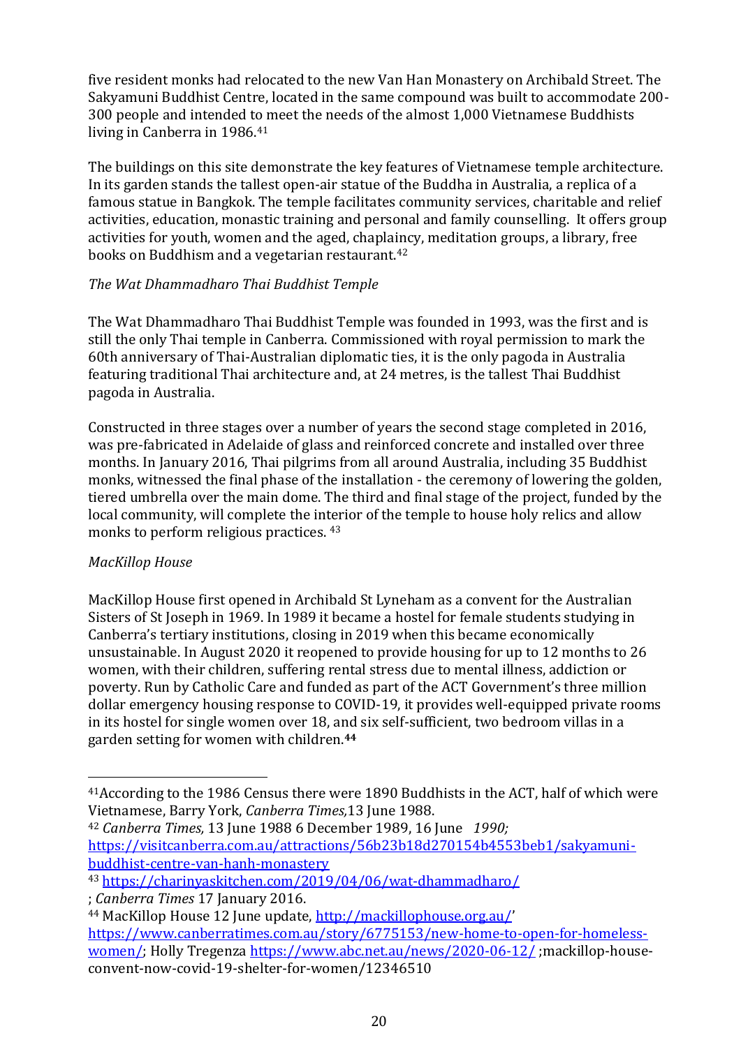five resident monks had relocated to the new Van Han Monastery on Archibald Street. The Sakyamuni Buddhist Centre, located in the same compound was built to accommodate 200- 300 people and intended to meet the needs of the almost 1,000 Vietnamese Buddhists living in Canberra in 1986.<sup>41</sup>

The buildings on this site demonstrate the key features of Vietnamese temple architecture. In its garden stands the tallest open-air statue of the Buddha in Australia, a replica of a famous statue in Bangkok. The temple facilitates community services, charitable and relief activities, education, monastic training and personal and family counselling. It offers group activities for youth, women and the aged, chaplaincy, meditation groups, a library, free books on Buddhism and a vegetarian restaurant.<sup>42</sup>

## <span id="page-20-0"></span>*The Wat Dhammadharo Thai Buddhist Temple*

The Wat Dhammadharo Thai Buddhist Temple was founded in 1993, was the first and is still the only Thai temple in Canberra. Commissioned with royal permission to mark the 60th anniversary of Thai-Australian diplomatic ties, it is the only pagoda in Australia featuring traditional Thai architecture and, at 24 metres, is the tallest Thai Buddhist pagoda in Australia.

Constructed in three stages over a number of years the second stage completed in 2016, was pre-fabricated in Adelaide of glass and reinforced concrete and installed over three months. In January 2016, Thai pilgrims from all around Australia, including 35 Buddhist monks, witnessed the final phase of the installation - the ceremony of lowering the golden, tiered umbrella over the main dome. The third and final stage of the project, funded by the local community, will complete the interior of the temple to house holy relics and allow monks to perform religious practices. <sup>43</sup>

## <span id="page-20-1"></span>*MacKillop House*

MacKillop House first opened in Archibald St Lyneham as a convent for the Australian Sisters of St Joseph in 1969. In 1989 it became a hostel for female students studying in Canberra's tertiary institutions, closing in 2019 when this became economically unsustainable. In August 2020 it reopened to provide housing for up to 12 months to 26 women, with their children, suffering rental stress due to mental illness, addiction or poverty. Run by Catholic Care and funded as part of the ACT Government's three million dollar emergency housing response to COVID-19, it provides well-equipped private rooms in its hostel for single women over 18, and six self-sufficient, two bedroom villas in a garden setting for women with children.**<sup>44</sup>**

<sup>41</sup>According to the 1986 Census there were 1890 Buddhists in the ACT, half of which were Vietnamese, Barry York, *Canberra Times,*13 June 1988.

<sup>42</sup> *Canberra Times,* 13 June 1988 6 December 1989, 16 June *1990;*  https://visitcanberra.com.au/attractions/56b23b18d270154b4553beb1/sakyamunibuddhist-centre-van-hanh-monastery

<sup>43</sup> https://charinyaskitchen.com/2019/04/06/wat-dhammadharo/

<sup>;</sup> *Canberra Times* 17 January 2016.

<sup>44</sup> MacKillop House 12 June update, http://mackillophouse.org.au/' https://www.canberratimes.com.au/story/6775153/new-home-to-open-for-homelesswomen/; Holly Tregenza https://www.abc.net.au/news/2020-06-12/ ;mackillop-houseconvent-now-covid-19-shelter-for-women/12346510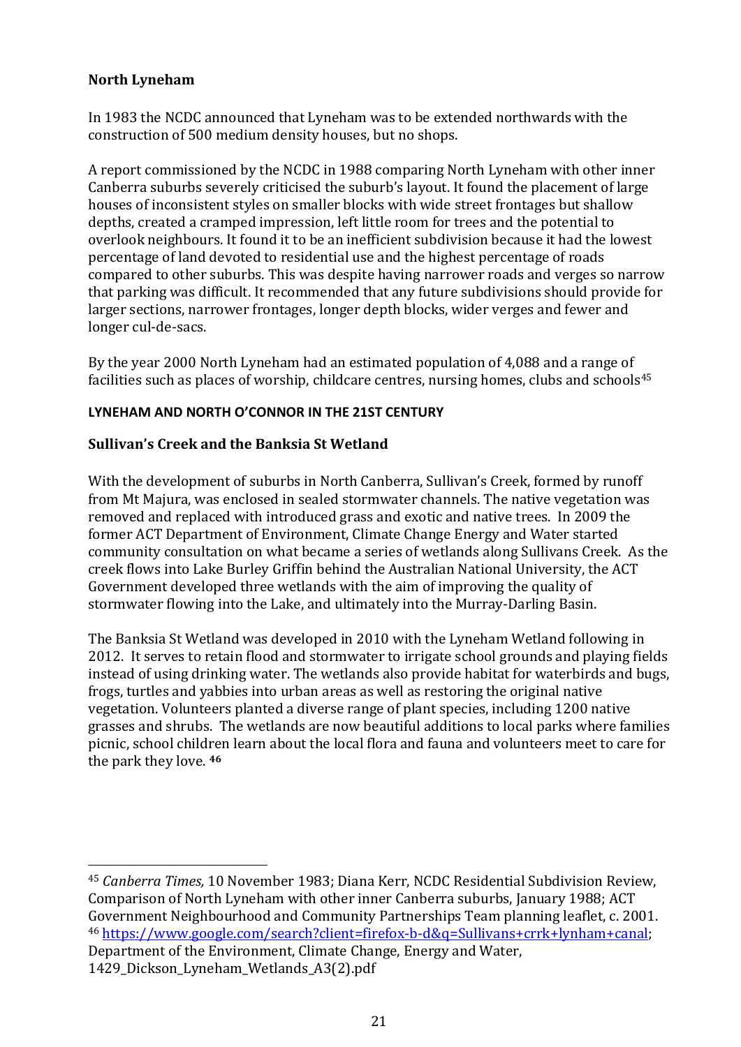## <span id="page-21-0"></span>**North Lyneham**

In 1983 the NCDC announced that Lyneham was to be extended northwards with the construction of 500 medium density houses, but no shops.

A report commissioned by the NCDC in 1988 comparing North Lyneham with other inner Canberra suburbs severely criticised the suburb's layout. It found the placement of large houses of inconsistent styles on smaller blocks with wide street frontages but shallow depths, created a cramped impression, left little room for trees and the potential to overlook neighbours. It found it to be an inefficient subdivision because it had the lowest percentage of land devoted to residential use and the highest percentage of roads compared to other suburbs. This was despite having narrower roads and verges so narrow that parking was difficult. It recommended that any future subdivisions should provide for larger sections, narrower frontages, longer depth blocks, wider verges and fewer and longer cul-de-sacs.

By the year 2000 North Lyneham had an estimated population of 4,088 and a range of facilities such as places of worship, childcare centres, nursing homes, clubs and schools<sup>45</sup>

#### <span id="page-21-1"></span>**LYNEHAM AND NORTH O'CONNOR IN THE 21ST CENTURY**

## <span id="page-21-2"></span>**Sullivan's Creek and the Banksia St Wetland**

With the development of suburbs in North Canberra, Sullivan's Creek, formed by runoff from Mt Majura, was enclosed in sealed stormwater channels. The native vegetation was removed and replaced with introduced grass and exotic and native trees. In 2009 the former ACT Department of Environment, Climate Change Energy and Water started community consultation on what became a series of wetlands along Sullivans Creek. As the creek flows into Lake Burley Griffin behind the Australian National University, the ACT Government developed three wetlands with the aim of improving the quality of stormwater flowing into the Lake, and ultimately into the Murray-Darling Basin.

The Banksia St Wetland was developed in 2010 with the Lyneham Wetland following in 2012. It serves to retain flood and stormwater to irrigate school grounds and playing fields instead of using drinking water. The wetlands also provide habitat for waterbirds and bugs, frogs, turtles and yabbies into urban areas as well as restoring the original native vegetation. Volunteers planted a diverse range of plant species, including 1200 native grasses and shrubs. The wetlands are now beautiful additions to local parks where families picnic, school children learn about the local flora and fauna and volunteers meet to care for the park they love. **<sup>46</sup>**

<sup>45</sup> *Canberra Times,* 10 November 1983; Diana Kerr, NCDC Residential Subdivision Review, Comparison of North Lyneham with other inner Canberra suburbs, January 1988; ACT Government Neighbourhood and Community Partnerships Team planning leaflet, c. 2001. <sup>46</sup> https://www.google.com/search?client=firefox-b-d&q=Sullivans+crrk+lynham+canal; Department of the Environment, Climate Change, Energy and Water, 1429\_Dickson\_Lyneham\_Wetlands\_A3(2).pdf